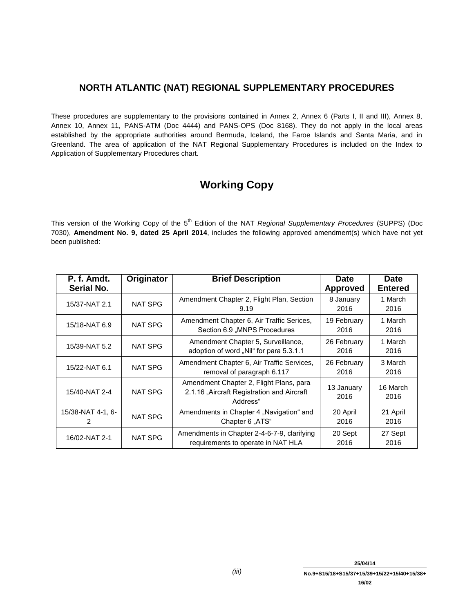### **NORTH ATLANTIC (NAT) REGIONAL SUPPLEMENTARY PROCEDURES**

These procedures are supplementary to the provisions contained in Annex 2, Annex 6 (Parts I, II and III), Annex 8, Annex 10, Annex 11, PANS-ATM (Doc 4444) and PANS-OPS (Doc 8168). They do not apply in the local areas established by the appropriate authorities around Bermuda, Iceland, the Faroe Islands and Santa Maria, and in Greenland. The area of application of the NAT Regional Supplementary Procedures is included on the Index to Application of Supplementary Procedures chart.

### **Working Copy**

This version of the Working Copy of the 5<sup>th</sup> Edition of the NAT *Regional Supplementary Procedures* (SUPPS) (Doc 7030), **Amendment No. 9, dated 25 April 2014**, includes the following approved amendment(s) which have not yet been published:

| P. f. Amdt.<br>Serial No. | Originator     | <b>Brief Description</b>                                                                          | <b>Date</b><br><b>Approved</b> | <b>Date</b><br><b>Entered</b> |
|---------------------------|----------------|---------------------------------------------------------------------------------------------------|--------------------------------|-------------------------------|
| 15/37-NAT 2.1             | <b>NAT SPG</b> | Amendment Chapter 2, Flight Plan, Section<br>9.19                                                 | 8 January<br>2016              | 1 March<br>2016               |
| 15/18-NAT 6.9             | <b>NAT SPG</b> | Amendment Chapter 6, Air Traffic Serices,<br>Section 6.9 "MNPS Procedures                         | 19 February<br>2016            | 1 March<br>2016               |
| 15/39-NAT 5.2             | NAT SPG        | Amendment Chapter 5, Surveillance,<br>adoption of word "Nil" for para 5.3.1.1                     | 26 February<br>2016            | 1 March<br>2016               |
| 15/22-NAT 6.1             | NAT SPG        | Amendment Chapter 6, Air Traffic Services,<br>removal of paragraph 6.117                          | 26 February<br>2016            | 3 March<br>2016               |
| 15/40-NAT 2-4             | <b>NAT SPG</b> | Amendment Chapter 2, Flight Plans, para<br>2.1.16 "Aircraft Registration and Aircraft<br>Address" | 13 January<br>2016             | 16 March<br>2016              |
| 15/38-NAT 4-1, 6-<br>2    | <b>NAT SPG</b> | Amendments in Chapter 4 "Navigation" and<br>Chapter 6 "ATS"                                       | 20 April<br>2016               | 21 April<br>2016              |
| 16/02-NAT 2-1             | <b>NAT SPG</b> | Amendments in Chapter 2-4-6-7-9, clarifying<br>requirements to operate in NAT HLA                 | 20 Sept<br>2016                | 27 Sept<br>2016               |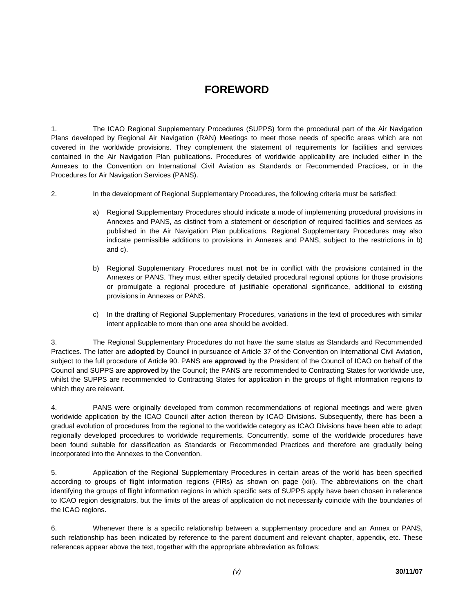### **FOREWORD**

1. The ICAO Regional Supplementary Procedures (SUPPS) form the procedural part of the Air Navigation Plans developed by Regional Air Navigation (RAN) Meetings to meet those needs of specific areas which are not covered in the worldwide provisions. They complement the statement of requirements for facilities and services contained in the Air Navigation Plan publications. Procedures of worldwide applicability are included either in the Annexes to the Convention on International Civil Aviation as Standards or Recommended Practices, or in the Procedures for Air Navigation Services (PANS).

2. In the development of Regional Supplementary Procedures, the following criteria must be satisfied:

- a) Regional Supplementary Procedures should indicate a mode of implementing procedural provisions in Annexes and PANS, as distinct from a statement or description of required facilities and services as published in the Air Navigation Plan publications. Regional Supplementary Procedures may also indicate permissible additions to provisions in Annexes and PANS, subject to the restrictions in b) and c).
- b) Regional Supplementary Procedures must **not** be in conflict with the provisions contained in the Annexes or PANS. They must either specify detailed procedural regional options for those provisions or promulgate a regional procedure of justifiable operational significance, additional to existing provisions in Annexes or PANS.
- c) In the drafting of Regional Supplementary Procedures, variations in the text of procedures with similar intent applicable to more than one area should be avoided.

3. The Regional Supplementary Procedures do not have the same status as Standards and Recommended Practices. The latter are **adopted** by Council in pursuance of Article 37 of the Convention on International Civil Aviation, subject to the full procedure of Article 90. PANS are **approved** by the President of the Council of ICAO on behalf of the Council and SUPPS are **approved** by the Council; the PANS are recommended to Contracting States for worldwide use, whilst the SUPPS are recommended to Contracting States for application in the groups of flight information regions to which they are relevant.

4. PANS were originally developed from common recommendations of regional meetings and were given worldwide application by the ICAO Council after action thereon by ICAO Divisions. Subsequently, there has been a gradual evolution of procedures from the regional to the worldwide category as ICAO Divisions have been able to adapt regionally developed procedures to worldwide requirements. Concurrently, some of the worldwide procedures have been found suitable for classification as Standards or Recommended Practices and therefore are gradually being incorporated into the Annexes to the Convention.

5. Application of the Regional Supplementary Procedures in certain areas of the world has been specified according to groups of flight information regions (FIRs) as shown on page (xiii). The abbreviations on the chart identifying the groups of flight information regions in which specific sets of SUPPS apply have been chosen in reference to ICAO region designators, but the limits of the areas of application do not necessarily coincide with the boundaries of the ICAO regions.

6. Whenever there is a specific relationship between a supplementary procedure and an Annex or PANS, such relationship has been indicated by reference to the parent document and relevant chapter, appendix, etc. These references appear above the text, together with the appropriate abbreviation as follows: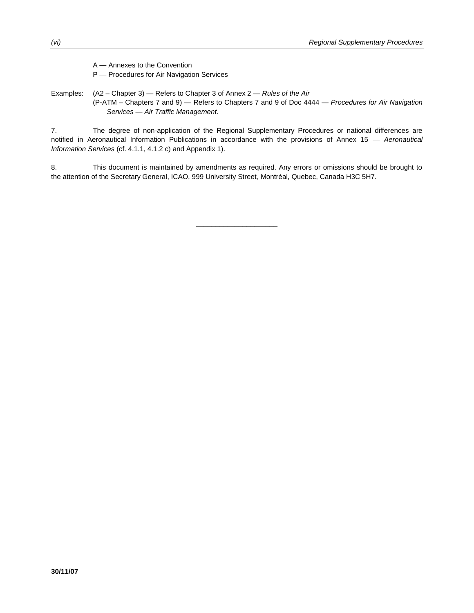A — Annexes to the Convention P — Procedures for Air Navigation Services

Examples: (A2 – Chapter 3) — Refers to Chapter 3 of Annex 2 — *Rules of the Air* (P-ATM – Chapters 7 and 9) — Refers to Chapters 7 and 9 of Doc 4444 — *Procedures for Air Navigation Services — Air Traffic Management*.

7. The degree of non-application of the Regional Supplementary Procedures or national differences are notified in Aeronautical Information Publications in accordance with the provisions of Annex 15 — *Aeronautical Information Services* (cf. 4.1.1, 4.1.2 c) and Appendix 1).

8. This document is maintained by amendments as required. Any errors or omissions should be brought to the attention of the Secretary General, ICAO, 999 University Street, Montréal, Quebec, Canada H3C 5H7.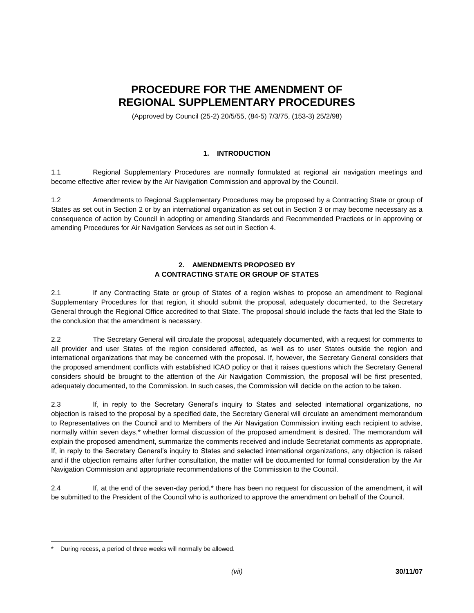### **PROCEDURE FOR THE AMENDMENT OF REGIONAL SUPPLEMENTARY PROCEDURES**

(Approved by Council (25-2) 20/5/55, (84-5) 7/3/75, (153-3) 25/2/98)

#### **1. INTRODUCTION**

1.1 Regional Supplementary Procedures are normally formulated at regional air navigation meetings and become effective after review by the Air Navigation Commission and approval by the Council.

1.2 Amendments to Regional Supplementary Procedures may be proposed by a Contracting State or group of States as set out in Section 2 or by an international organization as set out in Section 3 or may become necessary as a consequence of action by Council in adopting or amending Standards and Recommended Practices or in approving or amending Procedures for Air Navigation Services as set out in Section 4.

#### **2. AMENDMENTS PROPOSED BY A CONTRACTING STATE OR GROUP OF STATES**

2.1 If any Contracting State or group of States of a region wishes to propose an amendment to Regional Supplementary Procedures for that region, it should submit the proposal, adequately documented, to the Secretary General through the Regional Office accredited to that State. The proposal should include the facts that led the State to the conclusion that the amendment is necessary.

2.2 The Secretary General will circulate the proposal, adequately documented, with a request for comments to all provider and user States of the region considered affected, as well as to user States outside the region and international organizations that may be concerned with the proposal. If, however, the Secretary General considers that the proposed amendment conflicts with established ICAO policy or that it raises questions which the Secretary General considers should be brought to the attention of the Air Navigation Commission, the proposal will be first presented, adequately documented, to the Commission. In such cases, the Commission will decide on the action to be taken.

2.3 If, in reply to the Secretary General's inquiry to States and selected international organizations, no objection is raised to the proposal by a specified date, the Secretary General will circulate an amendment memorandum to Representatives on the Council and to Members of the Air Navigation Commission inviting each recipient to advise, normally within seven days,\* whether formal discussion of the proposed amendment is desired. The memorandum will explain the proposed amendment, summarize the comments received and include Secretariat comments as appropriate. If, in reply to the Secretary General's inquiry to States and selected international organizations, any objection is raised and if the objection remains after further consultation, the matter will be documented for formal consideration by the Air Navigation Commission and appropriate recommendations of the Commission to the Council.

2.4 If, at the end of the seven-day period,\* there has been no request for discussion of the amendment, it will be submitted to the President of the Council who is authorized to approve the amendment on behalf of the Council.

l

<sup>\*</sup> During recess, a period of three weeks will normally be allowed.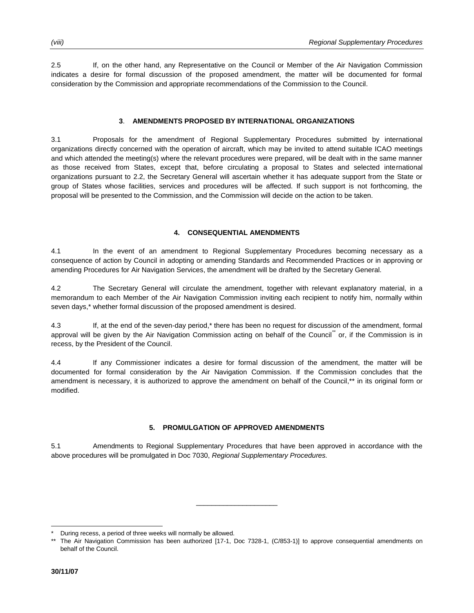2.5 If, on the other hand, any Representative on the Council or Member of the Air Navigation Commission indicates a desire for formal discussion of the proposed amendment, the matter will be documented for formal consideration by the Commission and appropriate recommendations of the Commission to the Council.

#### **3**. **AMENDMENTS PROPOSED BY INTERNATIONAL ORGANIZATIONS**

3.1 Proposals for the amendment of Regional Supplementary Procedures submitted by international organizations directly concerned with the operation of aircraft, which may be invited to attend suitable ICAO meetings and which attended the meeting(s) where the relevant procedures were prepared, will be dealt with in the same manner as those received from States, except that, before circulating a proposal to States and selected international organizations pursuant to 2.2, the Secretary General will ascertain whether it has adequate support from the State or group of States whose facilities, services and procedures will be affected. If such support is not forthcoming, the proposal will be presented to the Commission, and the Commission will decide on the action to be taken.

#### **4. CONSEQUENTIAL AMENDMENTS**

4.1 In the event of an amendment to Regional Supplementary Procedures becoming necessary as a consequence of action by Council in adopting or amending Standards and Recommended Practices or in approving or amending Procedures for Air Navigation Services, the amendment will be drafted by the Secretary General.

4.2 The Secretary General will circulate the amendment, together with relevant explanatory material, in a memorandum to each Member of the Air Navigation Commission inviting each recipient to notify him, normally within seven days,\* whether formal discussion of the proposed amendment is desired.

4.3 If, at the end of the seven-day period,\* there has been no request for discussion of the amendment, formal approval will be given by the Air Navigation Commission acting on behalf of the Council<sup>\*</sup> or, if the Commission is in recess, by the President of the Council.

4.4 If any Commissioner indicates a desire for formal discussion of the amendment, the matter will be documented for formal consideration by the Air Navigation Commission. If the Commission concludes that the amendment is necessary, it is authorized to approve the amendment on behalf of the Council,\*\* in its original form or modified.

#### **5. PROMULGATION OF APPROVED AMENDMENTS**

5.1 Amendments to Regional Supplementary Procedures that have been approved in accordance with the above procedures will be promulgated in Doc 7030, *Regional Supplementary Procedures.*

\_\_\_\_\_\_\_\_\_\_\_\_\_\_\_\_\_\_\_\_\_

 $\overline{a}$ 

During recess, a period of three weeks will normally be allowed.

<sup>\*\*</sup> The Air Navigation Commission has been authorized [17-1, Doc 7328-1, (C/853-1)] to approve consequential amendments on behalf of the Council.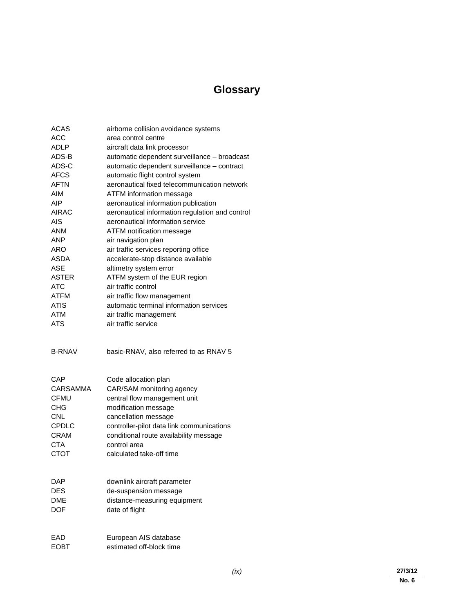# **Glossary**

| <b>ACAS</b>          | airborne collision avoidance systems                   |
|----------------------|--------------------------------------------------------|
| <b>ACC</b>           | area control centre                                    |
| <b>ADLP</b>          | aircraft data link processor                           |
| ADS-B                | automatic dependent surveillance - broadcast           |
| ADS-C                | automatic dependent surveillance - contract            |
| <b>AFCS</b>          | automatic flight control system                        |
| <b>AFTN</b>          | aeronautical fixed telecommunication network           |
| AIM                  | <b>ATFM</b> information message                        |
| AIP                  | aeronautical information publication                   |
| AIRAC                | aeronautical information regulation and control        |
| AIS                  | aeronautical information service                       |
| ANM                  | ATFM notification message                              |
| ANP                  | air navigation plan                                    |
| ARO                  | air traffic services reporting office                  |
| <b>ASDA</b>          | accelerate-stop distance available                     |
| <b>ASE</b>           | altimetry system error                                 |
| <b>ASTER</b>         | ATFM system of the EUR region                          |
| <b>ATC</b>           | air traffic control                                    |
| <b>ATFM</b>          | air traffic flow management                            |
| <b>ATIS</b>          | automatic terminal information services                |
| <b>ATM</b>           | air traffic management                                 |
| <b>ATS</b>           | air traffic service                                    |
| <b>B-RNAV</b>        | basic-RNAV, also referred to as RNAV 5                 |
|                      |                                                        |
| CAP                  | Code allocation plan                                   |
| CARSAMMA             | CAR/SAM monitoring agency                              |
| <b>CFMU</b>          | central flow management unit                           |
| <b>CHG</b>           | modification message                                   |
| <b>CNL</b>           | cancellation message                                   |
| CPDLC<br><b>CRAM</b> | controller-pilot data link communications              |
| <b>CTA</b>           | conditional route availability message<br>control area |
| <b>CTOT</b>          |                                                        |
|                      | calculated take-off time                               |
|                      |                                                        |
| <b>DAP</b>           | downlink aircraft parameter                            |
| <b>DES</b>           | de-suspension message                                  |
| <b>DME</b>           | distance-measuring equipment                           |
| <b>DOF</b>           | date of flight                                         |
| EAD                  | European AIS database                                  |
| <b>EOBT</b>          | estimated off-block time                               |
|                      |                                                        |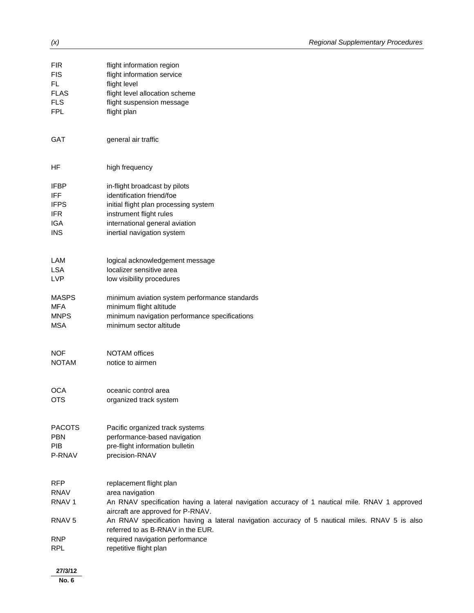| <b>FIR</b>                                                                                      | flight information region                                                                                                                                                                                                                                                                                                                                                             |
|-------------------------------------------------------------------------------------------------|---------------------------------------------------------------------------------------------------------------------------------------------------------------------------------------------------------------------------------------------------------------------------------------------------------------------------------------------------------------------------------------|
| <b>FIS</b>                                                                                      | flight information service                                                                                                                                                                                                                                                                                                                                                            |
| FL.                                                                                             | flight level                                                                                                                                                                                                                                                                                                                                                                          |
| <b>FLAS</b>                                                                                     | flight level allocation scheme                                                                                                                                                                                                                                                                                                                                                        |
| <b>FLS</b>                                                                                      | flight suspension message                                                                                                                                                                                                                                                                                                                                                             |
| FPL.                                                                                            | flight plan                                                                                                                                                                                                                                                                                                                                                                           |
| <b>GAT</b>                                                                                      | general air traffic                                                                                                                                                                                                                                                                                                                                                                   |
| HF                                                                                              | high frequency                                                                                                                                                                                                                                                                                                                                                                        |
| <b>IFBP</b>                                                                                     | in-flight broadcast by pilots                                                                                                                                                                                                                                                                                                                                                         |
| <b>IFF</b>                                                                                      | identification friend/foe                                                                                                                                                                                                                                                                                                                                                             |
| <b>IFPS</b>                                                                                     | initial flight plan processing system                                                                                                                                                                                                                                                                                                                                                 |
| <b>IFR</b>                                                                                      | instrument flight rules                                                                                                                                                                                                                                                                                                                                                               |
| IGA                                                                                             | international general aviation                                                                                                                                                                                                                                                                                                                                                        |
| <b>INS</b>                                                                                      | inertial navigation system                                                                                                                                                                                                                                                                                                                                                            |
| LAM                                                                                             | logical acknowledgement message                                                                                                                                                                                                                                                                                                                                                       |
| <b>LSA</b>                                                                                      | localizer sensitive area                                                                                                                                                                                                                                                                                                                                                              |
| <b>LVP</b>                                                                                      | low visibility procedures                                                                                                                                                                                                                                                                                                                                                             |
| <b>MASPS</b>                                                                                    | minimum aviation system performance standards                                                                                                                                                                                                                                                                                                                                         |
| <b>MFA</b>                                                                                      | minimum flight altitude                                                                                                                                                                                                                                                                                                                                                               |
| <b>MNPS</b>                                                                                     | minimum navigation performance specifications                                                                                                                                                                                                                                                                                                                                         |
| <b>MSA</b>                                                                                      | minimum sector altitude                                                                                                                                                                                                                                                                                                                                                               |
| <b>NOF</b>                                                                                      | NOTAM offices                                                                                                                                                                                                                                                                                                                                                                         |
| <b>NOTAM</b>                                                                                    | notice to airmen                                                                                                                                                                                                                                                                                                                                                                      |
| <b>OCA</b>                                                                                      | oceanic control area                                                                                                                                                                                                                                                                                                                                                                  |
| <b>OTS</b>                                                                                      | organized track system                                                                                                                                                                                                                                                                                                                                                                |
| <b>PACOTS</b>                                                                                   | Pacific organized track systems                                                                                                                                                                                                                                                                                                                                                       |
| <b>PBN</b>                                                                                      | performance-based navigation                                                                                                                                                                                                                                                                                                                                                          |
| <b>PIB</b>                                                                                      | pre-flight information bulletin                                                                                                                                                                                                                                                                                                                                                       |
| P-RNAV                                                                                          | precision-RNAV                                                                                                                                                                                                                                                                                                                                                                        |
| <b>RFP</b><br><b>RNAV</b><br>RNAV <sub>1</sub><br>RNAV <sub>5</sub><br><b>RNP</b><br><b>RPL</b> | replacement flight plan<br>area navigation<br>An RNAV specification having a lateral navigation accuracy of 1 nautical mile. RNAV 1 approved<br>aircraft are approved for P-RNAV.<br>An RNAV specification having a lateral navigation accuracy of 5 nautical miles. RNAV 5 is also<br>referred to as B-RNAV in the EUR.<br>required navigation performance<br>repetitive flight plan |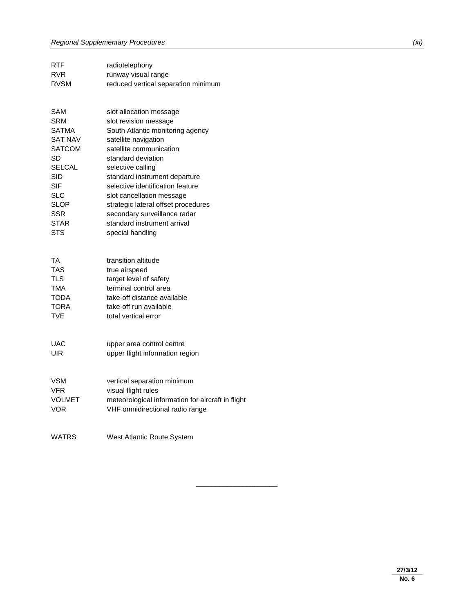| <b>RTF</b>         | radiotelephony                                              |
|--------------------|-------------------------------------------------------------|
| <b>RVR</b>         | runway visual range                                         |
| RVSM               | reduced vertical separation minimum                         |
|                    |                                                             |
| SAM                | slot allocation message                                     |
| <b>SRM</b>         | slot revision message                                       |
| SATMA              | South Atlantic monitoring agency                            |
| <b>SAT NAV</b>     | satellite navigation                                        |
| <b>SATCOM</b>      | satellite communication                                     |
| SD                 | standard deviation                                          |
| SELCAL             | selective calling                                           |
| <b>SID</b>         | standard instrument departure                               |
| <b>SIF</b>         | selective identification feature                            |
| SLC                | slot cancellation message                                   |
| SLOP               | strategic lateral offset procedures                         |
| SSR<br><b>STAR</b> | secondary surveillance radar<br>standard instrument arrival |
| STS                | special handling                                            |
|                    |                                                             |
| TA                 | transition altitude                                         |
| <b>TAS</b>         | true airspeed                                               |
| <b>TLS</b>         | target level of safety                                      |
| TMA                | terminal control area                                       |
| <b>TODA</b>        | take-off distance available                                 |
| <b>TORA</b>        | take-off run available                                      |
| <b>TVE</b>         | total vertical error                                        |
|                    |                                                             |
| UAC                | upper area control centre                                   |
| UIR                | upper flight information region                             |
|                    |                                                             |
| VSM                | vertical separation minimum                                 |
| <b>VFR</b>         | visual flight rules                                         |
| <b>VOLMET</b>      | meteorological information for aircraft in flight           |
| VOR                | VHF omnidirectional radio range                             |
|                    |                                                             |
| WATRS              | West Atlantic Route System                                  |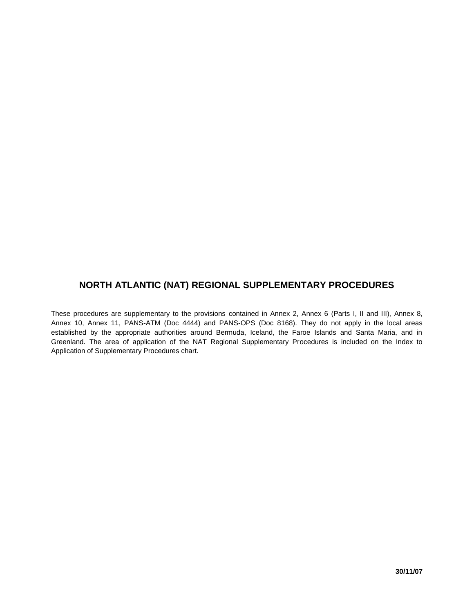### **NORTH ATLANTIC (NAT) REGIONAL SUPPLEMENTARY PROCEDURES**

These procedures are supplementary to the provisions contained in Annex 2, Annex 6 (Parts I, II and III), Annex 8, Annex 10, Annex 11, PANS-ATM (Doc 4444) and PANS-OPS (Doc 8168). They do not apply in the local areas established by the appropriate authorities around Bermuda, Iceland, the Faroe Islands and Santa Maria, and in Greenland. The area of application of the NAT Regional Supplementary Procedures is included on the Index to Application of Supplementary Procedures chart.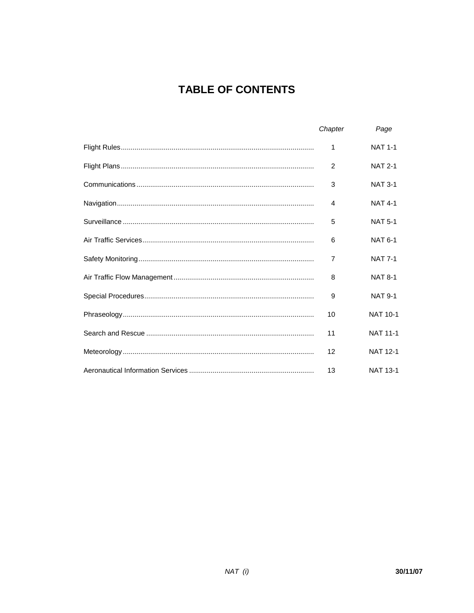## **TABLE OF CONTENTS**

| Chapter        | Page            |
|----------------|-----------------|
| 1              | <b>NAT 1-1</b>  |
| $\overline{2}$ | <b>NAT 2-1</b>  |
| 3              | <b>NAT 3-1</b>  |
| 4              | <b>NAT 4-1</b>  |
| 5              | <b>NAT 5-1</b>  |
| 6              | <b>NAT 6-1</b>  |
| 7              | <b>NAT 7-1</b>  |
| 8              | <b>NAT 8-1</b>  |
| 9              | <b>NAT 9-1</b>  |
| 10             | <b>NAT 10-1</b> |
| 11             | <b>NAT 11-1</b> |
| 12             | <b>NAT 12-1</b> |
| 13             | <b>NAT 13-1</b> |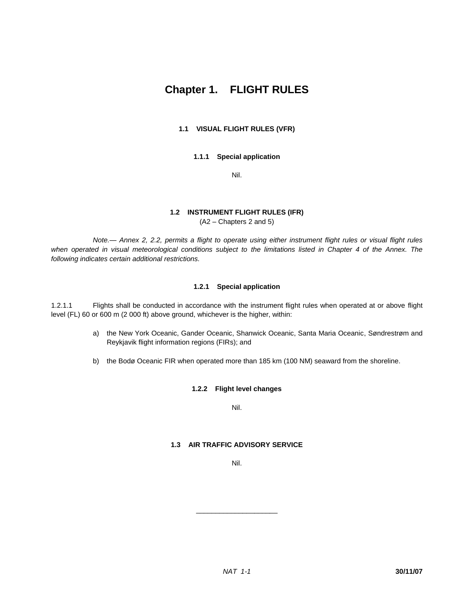### **Chapter 1. FLIGHT RULES**

#### **1.1 VISUAL FLIGHT RULES (VFR)**

#### **1.1.1 Special application**

Nil.

#### **1.2 INSTRUMENT FLIGHT RULES (IFR)**

(A2 – Chapters 2 and 5)

*Note.— Annex 2, 2.2, permits a flight to operate using either instrument flight rules or visual flight rules*  when operated in visual meteorological conditions subject to the limitations listed in Chapter 4 of the Annex. The *following indicates certain additional restrictions.*

#### **1.2.1 Special application**

1.2.1.1 Flights shall be conducted in accordance with the instrument flight rules when operated at or above flight level (FL) 60 or 600 m (2 000 ft) above ground, whichever is the higher, within:

- a) the New York Oceanic, Gander Oceanic, Shanwick Oceanic, Santa Maria Oceanic, Søndrestrøm and Reykjavik flight information regions (FIRs); and
- b) the Bodø Oceanic FIR when operated more than 185 km (100 NM) seaward from the shoreline.

#### **1.2.2 Flight level changes**

Nil.

#### **1.3 AIR TRAFFIC ADVISORY SERVICE**

Nil.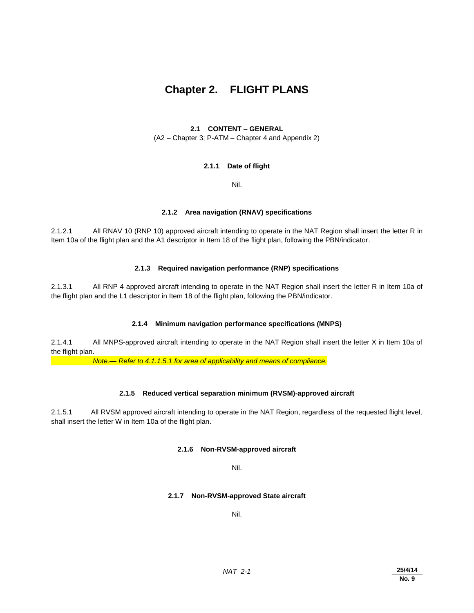### **Chapter 2. FLIGHT PLANS**

#### **2.1 CONTENT – GENERAL**

(A2 – Chapter 3; P-ATM – Chapter 4 and Appendix 2)

#### **2.1.1 Date of flight**

Nil.

#### **2.1.2 Area navigation (RNAV) specifications**

2.1.2.1 All RNAV 10 (RNP 10) approved aircraft intending to operate in the NAT Region shall insert the letter R in Item 10a of the flight plan and the A1 descriptor in Item 18 of the flight plan, following the PBN/indicator.

#### **2.1.3 Required navigation performance (RNP) specifications**

2.1.3.1 All RNP 4 approved aircraft intending to operate in the NAT Region shall insert the letter R in Item 10a of the flight plan and the L1 descriptor in Item 18 of the flight plan, following the PBN/indicator.

#### **2.1.4 Minimum navigation performance specifications (MNPS)**

2.1.4.1 All MNPS-approved aircraft intending to operate in the NAT Region shall insert the letter X in Item 10a of the flight plan.

*Note.— Refer to 4.1.1.5.1 for area of applicability and means of compliance.*

#### **2.1.5 Reduced vertical separation minimum (RVSM)-approved aircraft**

2.1.5.1 All RVSM approved aircraft intending to operate in the NAT Region, regardless of the requested flight level, shall insert the letter W in Item 10a of the flight plan.

#### **2.1.6 Non-RVSM-approved aircraft**

Nil.

#### **2.1.7 Non-RVSM-approved State aircraft**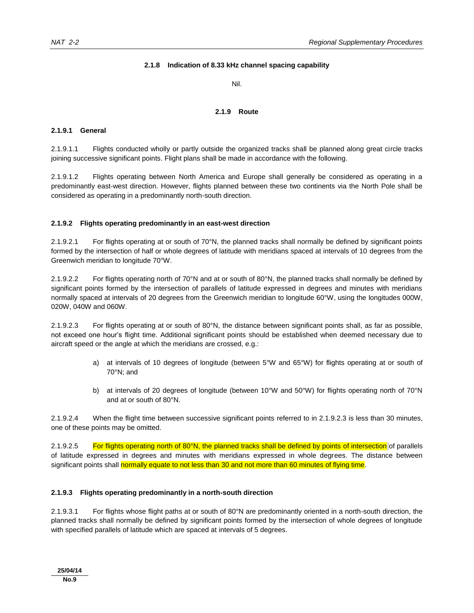#### **2.1.8 Indication of 8.33 kHz channel spacing capability**

Nil.

#### **2.1.9 Route**

#### **2.1.9.1 General**

2.1.9.1.1 Flights conducted wholly or partly outside the organized tracks shall be planned along great circle tracks joining successive significant points. Flight plans shall be made in accordance with the following.

2.1.9.1.2 Flights operating between North America and Europe shall generally be considered as operating in a predominantly east-west direction. However, flights planned between these two continents via the North Pole shall be considered as operating in a predominantly north-south direction.

#### **2.1.9.2 Flights operating predominantly in an east-west direction**

2.1.9.2.1 For flights operating at or south of 70°N, the planned tracks shall normally be defined by significant points formed by the intersection of half or whole degrees of latitude with meridians spaced at intervals of 10 degrees from the Greenwich meridian to longitude 70°W.

2.1.9.2.2 For flights operating north of  $70^{\circ}$ N and at or south of 80 $^{\circ}$ N, the planned tracks shall normally be defined by significant points formed by the intersection of parallels of latitude expressed in degrees and minutes with meridians normally spaced at intervals of 20 degrees from the Greenwich meridian to longitude 60°W, using the longitudes 000W, 020W, 040W and 060W.

2.1.9.2.3 For flights operating at or south of 80°N, the distance between significant points shall, as far as possible, not exceed one hour's flight time. Additional significant points should be established when deemed necessary due to aircraft speed or the angle at which the meridians are crossed, e.g.:

- a) at intervals of 10 degrees of longitude (between 5°W and 65°W) for flights operating at or south of 70°N; and
- b) at intervals of 20 degrees of longitude (between 10°W and 50°W) for flights operating north of 70°N and at or south of 80°N.

2.1.9.2.4 When the flight time between successive significant points referred to in 2.1.9.2.3 is less than 30 minutes, one of these points may be omitted.

2.1.9.2.5 For flights operating north of 80°N, the planned tracks shall be defined by points of intersection of parallels of latitude expressed in degrees and minutes with meridians expressed in whole degrees. The distance between significant points shall normally equate to not less than 30 and not more than 60 minutes of flying time.

#### **2.1.9.3 Flights operating predominantly in a north-south direction**

2.1.9.3.1 For flights whose flight paths at or south of 80°N are predominantly oriented in a north-south direction, the planned tracks shall normally be defined by significant points formed by the intersection of whole degrees of longitude with specified parallels of latitude which are spaced at intervals of 5 degrees.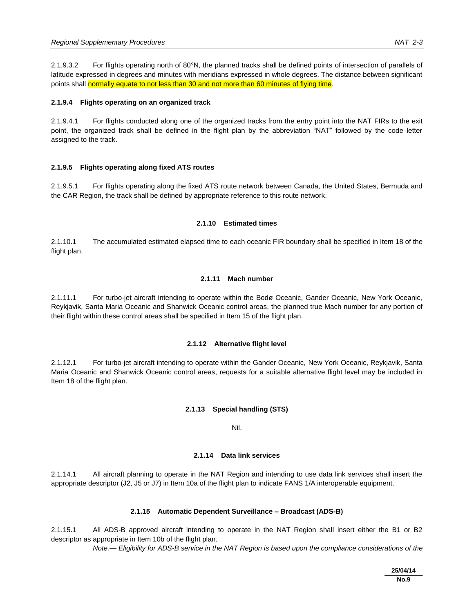2.1.9.3.2 For flights operating north of 80°N, the planned tracks shall be defined points of intersection of parallels of latitude expressed in degrees and minutes with meridians expressed in whole degrees. The distance between significant points shall normally equate to not less than 30 and not more than 60 minutes of flying time.

#### **2.1.9.4 Flights operating on an organized track**

2.1.9.4.1 For flights conducted along one of the organized tracks from the entry point into the NAT FIRs to the exit point, the organized track shall be defined in the flight plan by the abbreviation "NAT" followed by the code letter assigned to the track.

#### **2.1.9.5 Flights operating along fixed ATS routes**

2.1.9.5.1 For flights operating along the fixed ATS route network between Canada, the United States, Bermuda and the CAR Region, the track shall be defined by appropriate reference to this route network.

#### **2.1.10 Estimated times**

2.1.10.1 The accumulated estimated elapsed time to each oceanic FIR boundary shall be specified in Item 18 of the flight plan.

#### **2.1.11 Mach number**

2.1.11.1 For turbo-jet aircraft intending to operate within the Bodø Oceanic, Gander Oceanic, New York Oceanic, Reykjavik, Santa Maria Oceanic and Shanwick Oceanic control areas, the planned true Mach number for any portion of their flight within these control areas shall be specified in Item 15 of the flight plan.

#### **2.1.12 Alternative flight level**

2.1.12.1 For turbo-jet aircraft intending to operate within the Gander Oceanic, New York Oceanic, Reykjavik, Santa Maria Oceanic and Shanwick Oceanic control areas, requests for a suitable alternative flight level may be included in Item 18 of the flight plan.

#### **2.1.13 Special handling (STS)**

Nil.

#### **2.1.14 Data link services**

2.1.14.1 All aircraft planning to operate in the NAT Region and intending to use data link services shall insert the appropriate descriptor (J2, J5 or J7) in Item 10a of the flight plan to indicate FANS 1/A interoperable equipment.

#### **2.1.15 Automatic Dependent Surveillance – Broadcast (ADS-B)**

2.1.15.1 All ADS-B approved aircraft intending to operate in the NAT Region shall insert either the B1 or B2 descriptor as appropriate in Item 10b of the flight plan.

*Note.— Eligibility for ADS-B service in the NAT Region is based upon the compliance considerations of the*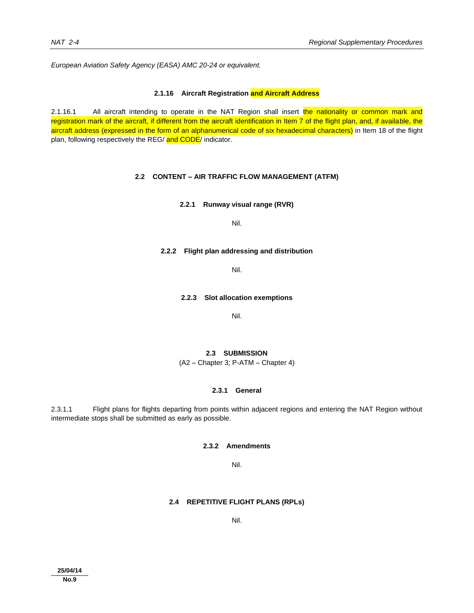*European Aviation Safety Agency (EASA) AMC 20-24 or equivalent.*

#### **2.1.16 Aircraft Registration and Aircraft Address**

2.1.16.1 All aircraft intending to operate in the NAT Region shall insert the nationality or common mark and registration mark of the aircraft, if different from the aircraft identification in Item 7 of the flight plan, and, if available, the aircraft address (expressed in the form of an alphanumerical code of six hexadecimal characters) in Item 18 of the flight plan, following respectively the REG/ and CODE/ indicator.

#### **2.2 CONTENT – AIR TRAFFIC FLOW MANAGEMENT (ATFM)**

**2.2.1 Runway visual range (RVR)**

Nil.

#### **2.2.2 Flight plan addressing and distribution**

Nil.

#### **2.2.3 Slot allocation exemptions**

Nil.

#### **2.3 SUBMISSION**

(A2 – Chapter 3; P-ATM – Chapter 4)

#### **2.3.1 General**

2.3.1.1 Flight plans for flights departing from points within adjacent regions and entering the NAT Region without intermediate stops shall be submitted as early as possible.

#### **2.3.2 Amendments**

Nil.

#### **2.4 REPETITIVE FLIGHT PLANS (RPLs)**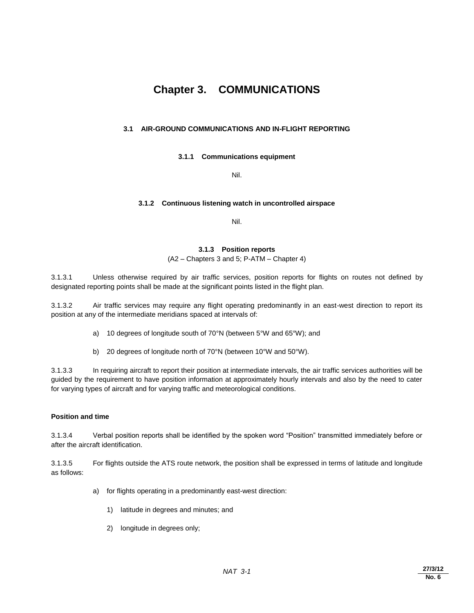### **Chapter 3. COMMUNICATIONS**

#### **3.1 AIR-GROUND COMMUNICATIONS AND IN-FLIGHT REPORTING**

#### **3.1.1 Communications equipment**

Nil.

#### **3.1.2 Continuous listening watch in uncontrolled airspace**

Nil.

#### **3.1.3 Position reports**

#### (A2 – Chapters 3 and 5; P-ATM – Chapter 4)

3.1.3.1 Unless otherwise required by air traffic services, position reports for flights on routes not defined by designated reporting points shall be made at the significant points listed in the flight plan.

3.1.3.2 Air traffic services may require any flight operating predominantly in an east-west direction to report its position at any of the intermediate meridians spaced at intervals of:

- a) 10 degrees of longitude south of 70°N (between 5°W and 65°W); and
- b) 20 degrees of longitude north of 70°N (between 10°W and 50°W).

3.1.3.3 In requiring aircraft to report their position at intermediate intervals, the air traffic services authorities will be guided by the requirement to have position information at approximately hourly intervals and also by the need to cater for varying types of aircraft and for varying traffic and meteorological conditions.

#### **Position and time**

3.1.3.4 Verbal position reports shall be identified by the spoken word "Position" transmitted immediately before or after the aircraft identification.

3.1.3.5 For flights outside the ATS route network, the position shall be expressed in terms of latitude and longitude as follows:

- a) for flights operating in a predominantly east-west direction:
	- 1) latitude in degrees and minutes; and
	- 2) longitude in degrees only;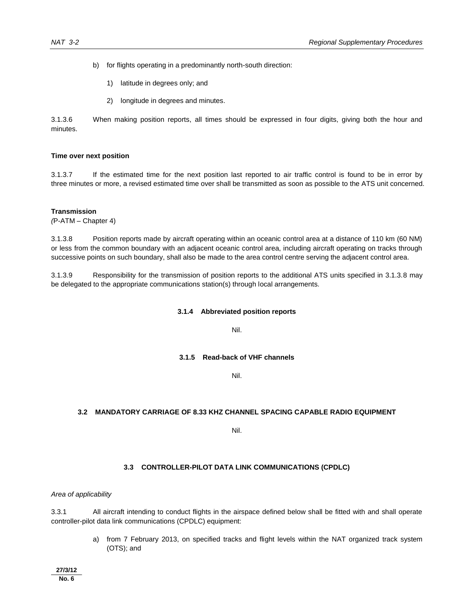- b) for flights operating in a predominantly north-south direction:
	- 1) latitude in degrees only; and
	- 2) longitude in degrees and minutes.

3.1.3.6 When making position reports, all times should be expressed in four digits, giving both the hour and minutes.

#### **Time over next position**

3.1.3.7 If the estimated time for the next position last reported to air traffic control is found to be in error by three minutes or more, a revised estimated time over shall be transmitted as soon as possible to the ATS unit concerned.

#### **Transmission**

*(*P-ATM – Chapter 4)

3.1.3.8 Position reports made by aircraft operating within an oceanic control area at a distance of 110 km (60 NM) or less from the common boundary with an adjacent oceanic control area, including aircraft operating on tracks through successive points on such boundary, shall also be made to the area control centre serving the adjacent control area.

3.1.3.9 Responsibility for the transmission of position reports to the additional ATS units specified in 3.1.3.8 may be delegated to the appropriate communications station(s) through local arrangements.

#### **3.1.4 Abbreviated position reports**

Nil.

#### **3.1.5 Read-back of VHF channels**

Nil.

#### **3.2 MANDATORY CARRIAGE OF 8.33 KHZ CHANNEL SPACING CAPABLE RADIO EQUIPMENT**

Nil.

#### **3.3 CONTROLLER-PILOT DATA LINK COMMUNICATIONS (CPDLC)**

#### *Area of applicability*

3.3.1 All aircraft intending to conduct flights in the airspace defined below shall be fitted with and shall operate controller-pilot data link communications (CPDLC) equipment:

> a) from 7 February 2013, on specified tracks and flight levels within the NAT organized track system (OTS); and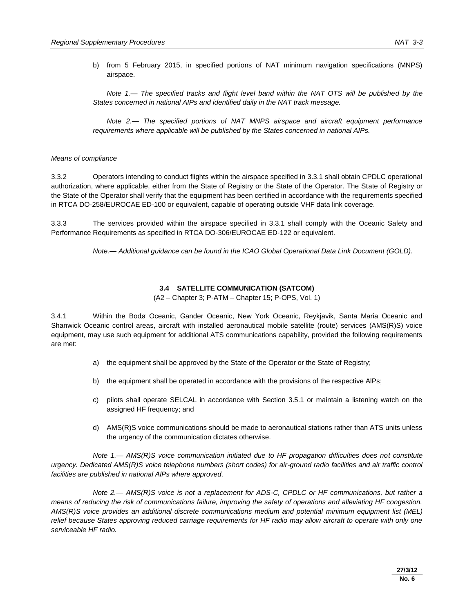b) from 5 February 2015, in specified portions of NAT minimum navigation specifications (MNPS) airspace.

*Note 1.— The specified tracks and flight level band within the NAT OTS will be published by the States concerned in national AIPs and identified daily in the NAT track message.*

*Note 2.— The specified portions of NAT MNPS airspace and aircraft equipment performance requirements where applicable will be published by the States concerned in national AIPs.*

#### *Means of compliance*

3.3.2 Operators intending to conduct flights within the airspace specified in 3.3.1 shall obtain CPDLC operational authorization, where applicable, either from the State of Registry or the State of the Operator. The State of Registry or the State of the Operator shall verify that the equipment has been certified in accordance with the requirements specified in RTCA DO-258/EUROCAE ED-100 or equivalent, capable of operating outside VHF data link coverage.

3.3.3 The services provided within the airspace specified in 3.3.1 shall comply with the Oceanic Safety and Performance Requirements as specified in RTCA DO-306/EUROCAE ED-122 or equivalent.

*Note.— Additional guidance can be found in the ICAO Global Operational Data Link Document (GOLD).*

#### **3.4 SATELLITE COMMUNICATION (SATCOM)**

(A2 – Chapter 3; P-ATM – Chapter 15; P-OPS, Vol. 1)

3.4.1 Within the Bodø Oceanic, Gander Oceanic, New York Oceanic, Reykjavik, Santa Maria Oceanic and Shanwick Oceanic control areas, aircraft with installed aeronautical mobile satellite (route) services (AMS(R)S) voice equipment, may use such equipment for additional ATS communications capability, provided the following requirements are met:

- a) the equipment shall be approved by the State of the Operator or the State of Registry;
- b) the equipment shall be operated in accordance with the provisions of the respective AlPs;
- c) pilots shall operate SELCAL in accordance with Section 3.5.1 or maintain a listening watch on the assigned HF frequency; and
- d) AMS(R)S voice communications should be made to aeronautical stations rather than ATS units unless the urgency of the communication dictates otherwise.

*Note 1.— AMS(R)S voice communication initiated due to HF propagation difficulties does not constitute urgency. Dedicated AMS(R)S voice telephone numbers (short codes) for air-ground radio facilities and air traffic control facilities are published in national AlPs where approved.*

*Note 2.— AMS(R)S voice is not a replacement for ADS-C, CPDLC or HF communications, but rather a means of reducing the risk of communications failure, improving the safety of operations and alleviating HF congestion. AMS(R)S voice provides an additional discrete communications medium and potential minimum equipment list (MEL) relief because States approving reduced carriage requirements for HF radio may allow aircraft to operate with only one serviceable HF radio.*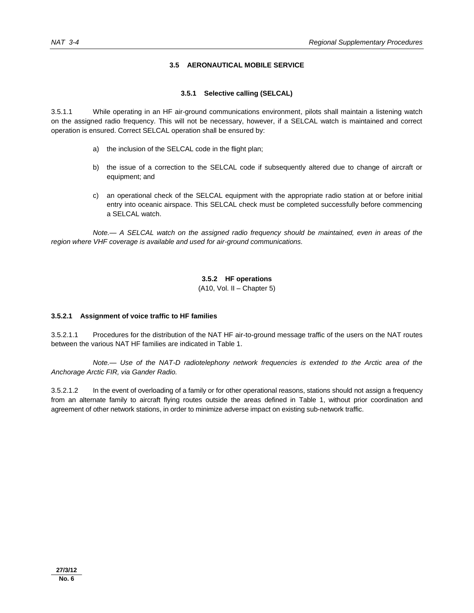#### **3.5 AERONAUTICAL MOBILE SERVICE**

#### **3.5.1 Selective calling (SELCAL)**

3.5.1.1 While operating in an HF air-ground communications environment, pilots shall maintain a listening watch on the assigned radio frequency. This will not be necessary, however, if a SELCAL watch is maintained and correct operation is ensured. Correct SELCAL operation shall be ensured by:

- a) the inclusion of the SELCAL code in the flight plan;
- b) the issue of a correction to the SELCAL code if subsequently altered due to change of aircraft or equipment; and
- c) an operational check of the SELCAL equipment with the appropriate radio station at or before initial entry into oceanic airspace. This SELCAL check must be completed successfully before commencing a SELCAL watch.

*Note.— A SELCAL watch on the assigned radio frequency should be maintained, even in areas of the region where VHF coverage is available and used for air-ground communications.*

> **3.5.2 HF operations** (A10, Vol. II – Chapter 5)

#### **3.5.2.1 Assignment of voice traffic to HF families**

3.5.2.1.1 Procedures for the distribution of the NAT HF air-to-ground message traffic of the users on the NAT routes between the various NAT HF families are indicated in Table 1.

*Note.— Use of the NAT-D radiotelephony network frequencies is extended to the Arctic area of the Anchorage Arctic FIR, via Gander Radio.*

3.5.2.1.2 In the event of overloading of a family or for other operational reasons, stations should not assign a frequency from an alternate family to aircraft flying routes outside the areas defined in Table 1, without prior coordination and agreement of other network stations, in order to minimize adverse impact on existing sub-network traffic.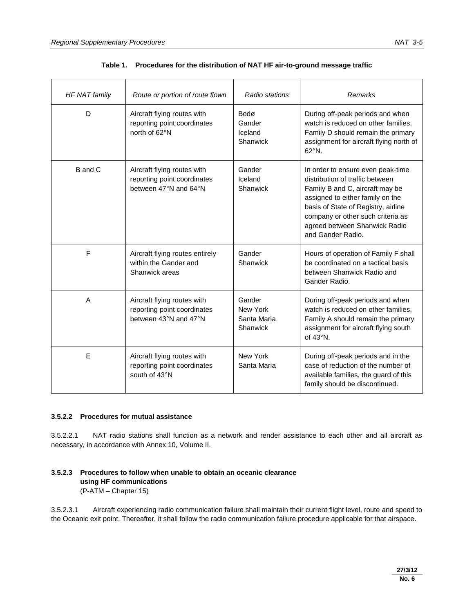| HF NAT family | Route or portion of route flown                                                     | Radio stations                                | Remarks                                                                                                                                                                                                                                                                       |
|---------------|-------------------------------------------------------------------------------------|-----------------------------------------------|-------------------------------------------------------------------------------------------------------------------------------------------------------------------------------------------------------------------------------------------------------------------------------|
| D             | Aircraft flying routes with<br>reporting point coordinates<br>north of 62°N         | Bodø<br>Gander<br>Iceland<br>Shanwick         | During off-peak periods and when<br>watch is reduced on other families,<br>Family D should remain the primary<br>assignment for aircraft flying north of<br>62°N.                                                                                                             |
| B and C       | Aircraft flying routes with<br>reporting point coordinates<br>between 47°N and 64°N | Gander<br>Iceland<br>Shanwick                 | In order to ensure even peak-time<br>distribution of traffic between<br>Family B and C, aircraft may be<br>assigned to either family on the<br>basis of State of Registry, airline<br>company or other such criteria as<br>agreed between Shanwick Radio<br>and Gander Radio. |
| F             | Aircraft flying routes entirely<br>within the Gander and<br>Shanwick areas          | Gander<br>Shanwick                            | Hours of operation of Family F shall<br>be coordinated on a tactical basis<br>between Shanwick Radio and<br>Gander Radio.                                                                                                                                                     |
| A             | Aircraft flying routes with<br>reporting point coordinates<br>between 43°N and 47°N | Gander<br>New York<br>Santa Maria<br>Shanwick | During off-peak periods and when<br>watch is reduced on other families,<br>Family A should remain the primary<br>assignment for aircraft flying south<br>of $43^{\circ}$ N.                                                                                                   |
| E             | Aircraft flying routes with<br>reporting point coordinates<br>south of 43°N         | New York<br>Santa Maria                       | During off-peak periods and in the<br>case of reduction of the number of<br>available families, the guard of this<br>family should be discontinued.                                                                                                                           |

| Table 1. Procedures for the distribution of NAT HF air-to-ground message traffic |  |
|----------------------------------------------------------------------------------|--|
|                                                                                  |  |

#### **3.5.2.2 Procedures for mutual assistance**

3.5.2.2.1 NAT radio stations shall function as a network and render assistance to each other and all aircraft as necessary, in accordance with Annex 10, Volume II.

### **3.5.2.3 Procedures to follow when unable to obtain an oceanic clearance**

**3.5.2.3 using HF communications**

**3.5.2.3** (P-ATM – Chapter 15)

3.5.2.3.1 Aircraft experiencing radio communication failure shall maintain their current flight level, route and speed to the Oceanic exit point. Thereafter, it shall follow the radio communication failure procedure applicable for that airspace.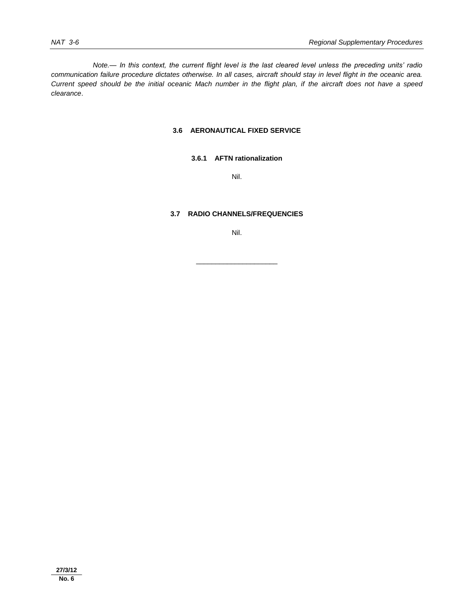*Note.— In this context, the current flight level is the last cleared level unless the preceding units' radio communication failure procedure dictates otherwise. In all cases, aircraft should stay in level flight in the oceanic area. Current speed should be the initial oceanic Mach number in the flight plan, if the aircraft does not have a speed clearance*.

#### **3.6 AERONAUTICAL FIXED SERVICE**

**3.6.1 AFTN rationalization**

Nil.

#### **3.7 RADIO CHANNELS/FREQUENCIES**

Nil.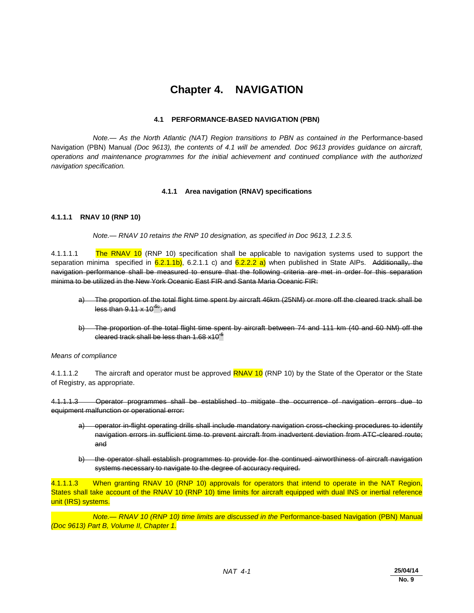### **Chapter 4. NAVIGATION**

#### **4.1 PERFORMANCE-BASED NAVIGATION (PBN)**

*Note.*— As the North Atlantic (NAT) Region transitions to PBN as contained in the Performance-based Navigation (PBN) Manual *(Doc 9613), the contents of 4.1 will be amended. Doc 9613 provides guidance on aircraft, operations and maintenance programmes for the initial achievement and continued compliance with the authorized navigation specification.*

#### **4.1.1 Area navigation (RNAV) specifications**

#### **4.1.1.1 RNAV 10 (RNP 10)**

*Note.— RNAV 10 retains the RNP 10 designation, as specified in Doc 9613, 1.2.3.5.*

4.1.1.1.1 The RNAV 10 (RNP 10) specification shall be applicable to navigation systems used to support the separation minima specified in  $6.2.1.1b$ , 6.2.1.1 c) and  $6.2.2.2 a$  when published in State AIPs. Additionally, the navigation performance shall be measured to ensure that the following criteria are met in order for this separation minima to be utilized in the New York Oceanic East FIR and Santa Maria Oceanic FIR:

- a) The proportion of the total flight time spent by aircraft 46km (25NM) or more off the cleared track shall be less than  $9.11 \times 10^{-5}$ ; and
- b) The proportion of the total flight time spent by aircraft between 74 and 111 km (40 and 60 NM) off the cleared track shall be less than  $1.68 \times 10^{-5}$

*Means of compliance*

4.1.1.1.2 The aircraft and operator must be approved RNAV 10 (RNP 10) by the State of the Operator or the State of Registry, as appropriate.

4.1.1.1.3 Operator programmes shall be established to mitigate the occurrence of navigation errors due to equipment malfunction or operational error:

- a) operator in-flight operating drills shall include mandatory navigation cross-checking procedures to identify navigation errors in sufficient time to prevent aircraft from inadvertent deviation from ATC-cleared route; and
- b) the operator shall establish programmes to provide for the continued airworthiness of aircraft navigation systems necessary to navigate to the degree of accuracy required.

4.1.1.1.3 When granting RNAV 10 (RNP 10) approvals for operators that intend to operate in the NAT Region, States shall take account of the RNAV 10 (RNP 10) time limits for aircraft equipped with dual INS or inertial reference unit (IRS) systems.

*Note.— RNAV 10 (RNP 10) time limits are discussed in the Performance-based Navigation (PBN) Manual (Doc 9613) Part B, Volume II, Chapter 1.*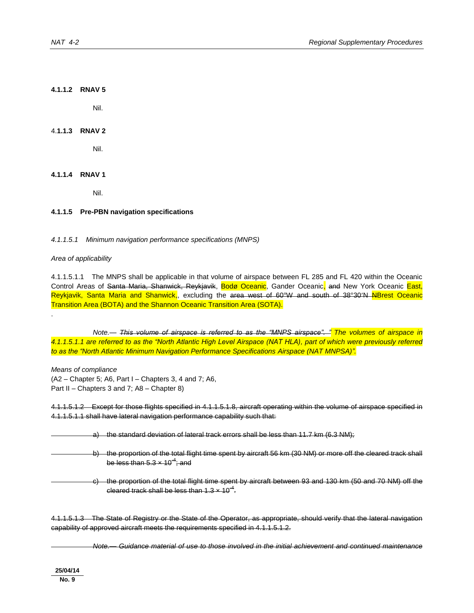#### **4.1.1.2 RNAV 5**

Nil.

#### 4.**1.1.3 RNAV 2**

Nil.

#### **4.1.1.4 RNAV 1**

Nil.

#### **4.1.1.5 Pre-PBN navigation specifications**

#### *4.1.1.5.1 Minimum navigation performance specifications (MNPS)*

#### *Area of applicability*

.

4.1.1.5.1.1 The MNPS shall be applicable in that volume of airspace between FL 285 and FL 420 within the Oceanic Control Areas of Santa Maria, Shanwick, Reykjavik, Bodø Oceanic, Gander Oceanic, and New York Oceanic East, Reykjavik, Santa Maria and Shanwick, excluding the area west of 60°W and south of 38°30′N NBrest Oceanic Transition Area (BOTA) and the Shannon Oceanic Transition Area (SOTA).

*Note.— This volume of airspace is referred to as the "MNPS airspace". " The volumes of airspace in 4.1.1.5.1.1 are referred to as the "North Atlantic High Level Airspace (NAT HLA), part of which were previously referred to as the "North Atlantic Minimum Navigation Performance Specifications Airspace (NAT MNPSA)".*

*Means of compliance* (A2 – Chapter 5; A6, Part I – Chapters 3, 4 and 7; A6, Part II – Chapters 3 and 7; A8 – Chapter 8)

4.1.1.5.1.2 Except for those flights specified in 4.1.1.5.1.8, aircraft operating within the volume of airspace specified in 4.1.1.5.1.1 shall have lateral navigation performance capability such that:

| $\sim$<br><b>u</b> | the standard deviation of lateral track errors shall be less than 11.7 km (6.3 NM);                                                                    |
|--------------------|--------------------------------------------------------------------------------------------------------------------------------------------------------|
|                    | the proportion of the total flight time spent by aircraft 56 km (30 NM) or more off the cleared track shall<br>be less than $5.3 \times 10^{-4}$ ; and |

c) the proportion of the total flight time spent by aircraft between 93 and 130 km (50 and 70 NM) off the cleared track shall be less than 1.3  $\times$  10<sup>-4</sup>.

4.1.1.5.1.3 The State of Registry or the State of the Operator, as appropriate, should verify that the lateral navigation capability of approved aircraft meets the requirements specified in 4.1.1.5.1.2.

*Note.— Guidance material of use to those involved in the initial achievement and continued maintenance*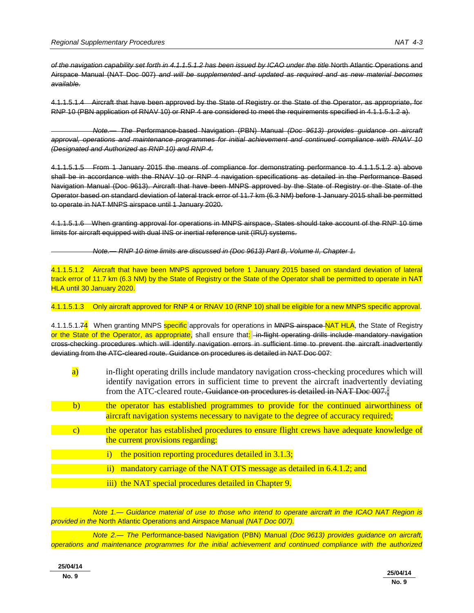*of the navigation capability set forth in 4.1.1.5.1.2 has been issued by ICAO under the title* North Atlantic Operations and Airspace Manual (NAT Doc 007) *and will be supplemented and updated as required and as new material becomes available.*

4.1.1.5.1.4 Aircraft that have been approved by the State of Registry or the State of the Operator, as appropriate, for RNP 10 (PBN application of RNAV 10) or RNP 4 are considered to meet the requirements specified in 4.1.1.5.1.2 a).

*Note.— The* Performance-based Navigation (PBN) Manual *(Doc 9613) provides guidance on aircraft approval, operations and maintenance programmes for initial achievement and continued compliance with RNAV 10 (Designated and Authorized as RNP 10) and RNP 4.*

4.1.1.5.1.5 From 1 January 2015 the means of compliance for demonstrating performance to 4.1.1.5.1.2 a) above shall be in accordance with the RNAV 10 or RNP 4 navigation specifications as detailed in the Performance Based Navigation Manual (Doc 9613). Aircraft that have been MNPS approved by the State of Registry or the State of the Operator based on standard deviation of lateral track error of 11.7 km (6.3 NM) before 1 January 2015 shall be permitted to operate in NAT MNPS airspace until 1 January 2020.

4.1.1.5.1.6 When granting approval for operations in MNPS airspace, States should take account of the RNP 10 time limits for aircraft equipped with dual INS or inertial reference unit (IRU) systems.

*Note.— RNP 10 time limits are discussed in (Doc 9613) Part B, Volume II, Chapter 1.*

4.1.1.5.1.2 Aircraft that have been MNPS approved before 1 January 2015 based on standard deviation of lateral track error of 11.7 km (6.3 NM) by the State of Registry or the State of the Operator shall be permitted to operate in NAT HLA until 30 January 2020.

4.1.1.5.1.3 Only aircraft approved for RNP 4 or RNAV 10 (RNP 10) shall be eligible for a new MNPS specific approval.

4.1.1.5.1.74 When granting MNPS specific approvals for operations in MNPS airspace NAT HLA, the State of Registry or the State of the Operator, as appropriate, shall ensure that: in-flight operating drills include mandatory navigation cross-checking procedures which will identify navigation errors in sufficient time to prevent the aircraft inadvertently deviating from the ATC-cleared route. Guidance on procedures is detailed in NAT Doc 007:

- a) in-flight operating drills include mandatory navigation cross-checking procedures which will identify navigation errors in sufficient time to prevent the aircraft inadvertently deviating from the ATC-cleared route. Guidance on procedures is detailed in NAT Doc 007.
- b) the operator has established programmes to provide for the continued airworthiness of aircraft navigation systems necessary to navigate to the degree of accuracy required;
- c) the operator has established procedures to ensure flight crews have adequate knowledge of the current provisions regarding:
	- i) the position reporting procedures detailed in 3.1.3;
		- ii) mandatory carriage of the NAT OTS message as detailed in 6.4.1.2; and
			- iii) the NAT special procedures detailed in Chapter 9.

*Note 1.— Guidance material of use to those who intend to operate aircraft in the ICAO NAT Region is provided in the* North Atlantic Operations and Airspace Manual *(NAT Doc 007).*

*Note 2.— The* Performance-based Navigation (PBN) Manual *(Doc 9613) provides guidance on aircraft, operations and maintenance programmes for the initial achievement and continued compliance with the authorized*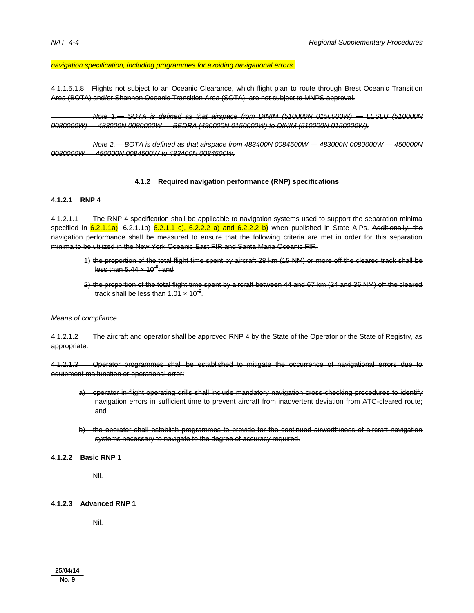#### *navigation specification, including programmes for avoiding navigational errors.*

4.1.1.5.1.8 Flights not subject to an Oceanic Clearance, which flight plan to route through Brest Oceanic Transition Area (BOTA) and/or Shannon Oceanic Transition Area (SOTA), are not subject to MNPS approval.

*Note 1.— SOTA is defined as that airspace from DINIM (510000N 0150000W) — LESLU (510000N 0080000W) — 483000N 0080000W — BEDRA (490000N 0150000W) to DINIM (510000N 0150000W).*

*Note 2.— BOTA is defined as that airspace from 483400N 0084500W — 483000N 0080000W — 450000N 0080000W — 450000N 0084500W to 483400N 0084500W.*

#### **4.1.2 Required navigation performance (RNP) specifications**

#### **4.1.2.1 RNP 4**

4.1.2.1.1 The RNP 4 specification shall be applicable to navigation systems used to support the separation minima specified in  $6.2.1.1a$ ,  $6.2.1.1b$ )  $6.2.1.1c$ ,  $6.2.2.2a$  and  $6.2.2.2b$  when published in State AIPs. Additionally, the navigation performance shall be measured to ensure that the following criteria are met in order for this separation minima to be utilized in the New York Oceanic East FIR and Santa Maria Oceanic FIR:

- 1) the proportion of the total flight time spent by aircraft 28 km (15 NM) or more off the cleared track shall be less than 5.44 × 10<sup>-5</sup>; and
- 2) the proportion of the total flight time spent by aircraft between 44 and 67 km (24 and 36 NM) off the cleared track shall be less than 1.01 **×** 10<sup>-5</sup>.

#### *Means of compliance*

4.1.2.1.2 The aircraft and operator shall be approved RNP 4 by the State of the Operator or the State of Registry, as appropriate.

4.1.2.1.3 Operator programmes shall be established to mitigate the occurrence of navigational errors due to equipment malfunction or operational error:

- a) operator in-flight operating drills shall include mandatory navigation cross-checking procedures to identify navigation errors in sufficient time to prevent aircraft from inadvertent deviation from ATC-cleared route; and
- b) the operator shall establish programmes to provide for the continued airworthiness of aircraft navigation systems necessary to navigate to the degree of accuracy required.

#### **4.1.2.2 Basic RNP 1**

Nil.

#### **4.1.2.3 Advanced RNP 1**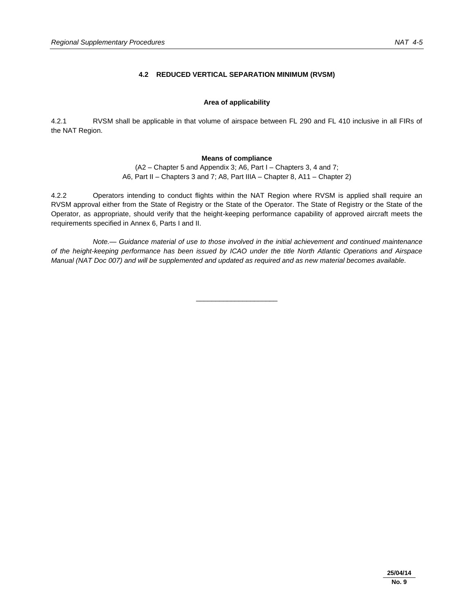#### **4.2 REDUCED VERTICAL SEPARATION MINIMUM (RVSM)**

#### **Area of applicability**

4.2.1 RVSM shall be applicable in that volume of airspace between FL 290 and FL 410 inclusive in all FIRs of the NAT Region.

#### **Means of compliance**

(A2 – Chapter 5 and Appendix 3; A6, Part I – Chapters 3, 4 and 7; A6, Part II – Chapters 3 and 7; A8, Part IIIA – Chapter 8, A11 – Chapter 2)

4.2.2 Operators intending to conduct flights within the NAT Region where RVSM is applied shall require an RVSM approval either from the State of Registry or the State of the Operator. The State of Registry or the State of the Operator, as appropriate, should verify that the height-keeping performance capability of approved aircraft meets the requirements specified in Annex 6, Parts I and II.

*Note.— Guidance material of use to those involved in the initial achievement and continued maintenance of the height-keeping performance has been issued by ICAO under the title North Atlantic Operations and Airspace Manual (NAT Doc 007) and will be supplemented and updated as required and as new material becomes available.*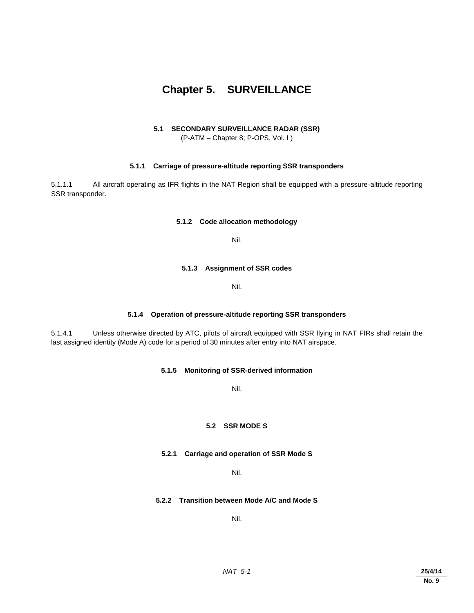### **Chapter 5. SURVEILLANCE**

#### **5.1 SECONDARY SURVEILLANCE RADAR (SSR)**

(P-ATM – Chapter 8; P-OPS, Vol. I )

#### **5.1.1 Carriage of pressure-altitude reporting SSR transponders**

5.1.1.1 All aircraft operating as IFR flights in the NAT Region shall be equipped with a pressure-altitude reporting SSR transponder.

#### **5.1.2 Code allocation methodology**

Nil.

#### **5.1.3 Assignment of SSR codes**

Nil.

#### **5.1.4 Operation of pressure-altitude reporting SSR transponders**

5.1.4.1 Unless otherwise directed by ATC, pilots of aircraft equipped with SSR flying in NAT FIRs shall retain the last assigned identity (Mode A) code for a period of 30 minutes after entry into NAT airspace.

#### **5.1.5 Monitoring of SSR-derived information**

Nil.

#### **5.2 SSR MODE S**

#### **5.2.1 Carriage and operation of SSR Mode S**

Nil.

#### **5.2.2 Transition between Mode A/C and Mode S**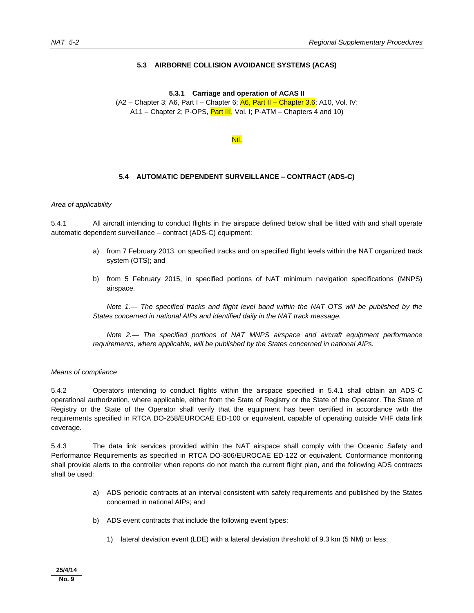#### **5.3 AIRBORNE COLLISION AVOIDANCE SYSTEMS (ACAS)**

**5.3.1 Carriage and operation of ACAS II**  $(A2 - Chapter 3; A6, Part I - Chapter 6;  $\overline{AG}$ , Part II - Chapter 3.6; A10, Vol. IV;$ A11 – Chapter 2; P-OPS, **Part III**, Vol. I; P-ATM – Chapters 4 and 10)

#### Nil.

#### **5.4 AUTOMATIC DEPENDENT SURVEILLANCE – CONTRACT (ADS-C)**

*Area of applicability*

5.4.1 All aircraft intending to conduct flights in the airspace defined below shall be fitted with and shall operate automatic dependent surveillance – contract (ADS-C) equipment:

- a) from 7 February 2013, on specified tracks and on specified flight levels within the NAT organized track system (OTS); and
- b) from 5 February 2015, in specified portions of NAT minimum navigation specifications (MNPS) airspace.

*Note 1.— The specified tracks and flight level band within the NAT OTS will be published by the States concerned in national AIPs and identified daily in the NAT track message.*

*Note 2.— The specified portions of NAT MNPS airspace and aircraft equipment performance requirements, where applicable, will be published by the States concerned in national AIPs.*

#### *Means of compliance*

5.4.2 Operators intending to conduct flights within the airspace specified in 5.4.1 shall obtain an ADS-C operational authorization, where applicable, either from the State of Registry or the State of the Operator. The State of Registry or the State of the Operator shall verify that the equipment has been certified in accordance with the requirements specified in RTCA DO-258/EUROCAE ED-100 or equivalent, capable of operating outside VHF data link coverage.

5.4.3 The data link services provided within the NAT airspace shall comply with the Oceanic Safety and Performance Requirements as specified in RTCA DO-306/EUROCAE ED-122 or equivalent. Conformance monitoring shall provide alerts to the controller when reports do not match the current flight plan, and the following ADS contracts shall be used:

- a) ADS periodic contracts at an interval consistent with safety requirements and published by the States concerned in national AIPs; and
- b) ADS event contracts that include the following event types:
	- 1) lateral deviation event (LDE) with a lateral deviation threshold of 9.3 km (5 NM) or less;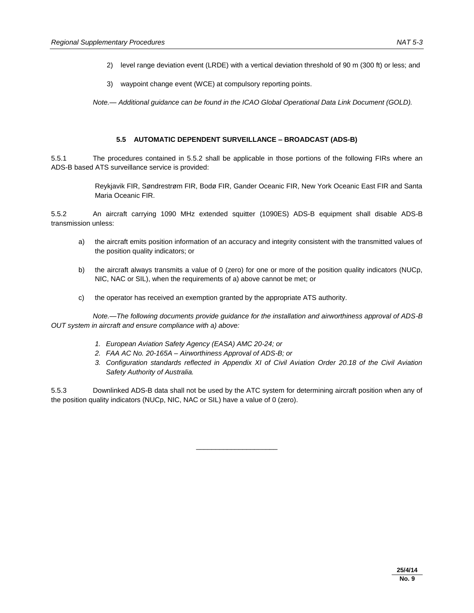- 2) level range deviation event (LRDE) with a vertical deviation threshold of 90 m (300 ft) or less; and
- 3) waypoint change event (WCE) at compulsory reporting points.

*Note.— Additional guidance can be found in the ICAO Global Operational Data Link Document (GOLD).*

#### **5.5 AUTOMATIC DEPENDENT SURVEILLANCE – BROADCAST (ADS-B)**

5.5.1 The procedures contained in 5.5.2 shall be applicable in those portions of the following FIRs where an ADS-B based ATS surveillance service is provided:

> Reykjavik FIR, Søndrestrøm FIR, Bodø FIR, Gander Oceanic FIR, New York Oceanic East FIR and Santa Maria Oceanic FIR.

5.5.2 An aircraft carrying 1090 MHz extended squitter (1090ES) ADS-B equipment shall disable ADS-B transmission unless:

- a) the aircraft emits position information of an accuracy and integrity consistent with the transmitted values of the position quality indicators; or
- b) the aircraft always transmits a value of 0 (zero) for one or more of the position quality indicators (NUCp, NIC, NAC or SIL), when the requirements of a) above cannot be met; or
- c) the operator has received an exemption granted by the appropriate ATS authority.

*Note.—The following documents provide guidance for the installation and airworthiness approval of ADS-B OUT system in aircraft and ensure compliance with a) above:*

- *1. European Aviation Safety Agency (EASA) AMC 20-24; or*
- *2. FAA AC No. 20-165A – Airworthiness Approval of ADS-B; or*
- *3. Configuration standards reflected in Appendix XI of Civil Aviation Order 20.18 of the Civil Aviation Safety Authority of Australia.*

5.5.3 Downlinked ADS-B data shall not be used by the ATC system for determining aircraft position when any of the position quality indicators (NUCp, NIC, NAC or SIL) have a value of 0 (zero).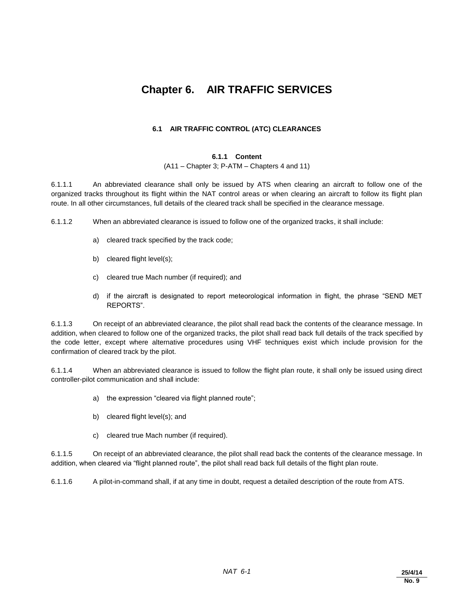### **Chapter 6. AIR TRAFFIC SERVICES**

#### **6.1 AIR TRAFFIC CONTROL (ATC) CLEARANCES**

#### **6.1.1 Content**

(A11 – Chapter 3; P-ATM – Chapters 4 and 11)

6.1.1.1 An abbreviated clearance shall only be issued by ATS when clearing an aircraft to follow one of the organized tracks throughout its flight within the NAT control areas or when clearing an aircraft to follow its flight plan route. In all other circumstances, full details of the cleared track shall be specified in the clearance message.

6.1.1.2 When an abbreviated clearance is issued to follow one of the organized tracks, it shall include:

- a) cleared track specified by the track code;
- b) cleared flight level(s);
- c) cleared true Mach number (if required); and
- d) if the aircraft is designated to report meteorological information in flight, the phrase "SEND MET REPORTS".

6.1.1.3 On receipt of an abbreviated clearance, the pilot shall read back the contents of the clearance message. In addition, when cleared to follow one of the organized tracks, the pilot shall read back full details of the track specified by the code letter, except where alternative procedures using VHF techniques exist which include provision for the confirmation of cleared track by the pilot.

6.1.1.4 When an abbreviated clearance is issued to follow the flight plan route, it shall only be issued using direct controller-pilot communication and shall include:

- a) the expression "cleared via flight planned route";
- b) cleared flight level(s); and
- c) cleared true Mach number (if required).

6.1.1.5 On receipt of an abbreviated clearance, the pilot shall read back the contents of the clearance message. In addition, when cleared via "flight planned route", the pilot shall read back full details of the flight plan route.

6.1.1.6 A pilot-in-command shall, if at any time in doubt, request a detailed description of the route from ATS.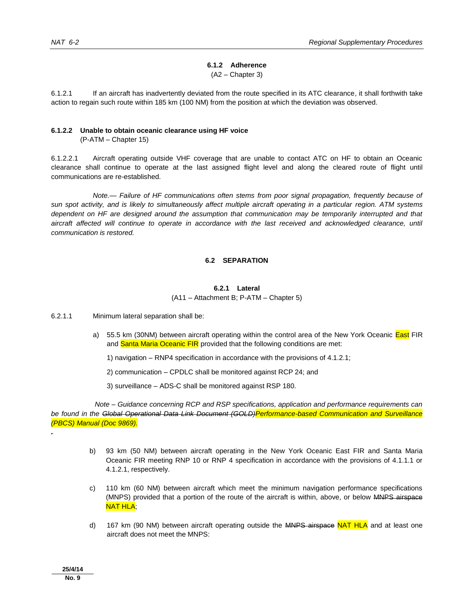#### **6.1.2 Adherence**

(A2 – Chapter 3)

6.1.2.1 If an aircraft has inadvertently deviated from the route specified in its ATC clearance, it shall forthwith take action to regain such route within 185 km (100 NM) from the position at which the deviation was observed.

#### **6.1.2.2 Unable to obtain oceanic clearance using HF voice**

**6.1.2.2** (P-ATM – Chapter 15)

6.1.2.2.1 Aircraft operating outside VHF coverage that are unable to contact ATC on HF to obtain an Oceanic clearance shall continue to operate at the last assigned flight level and along the cleared route of flight until communications are re-established.

*Note.— Failure of HF communications often stems from poor signal propagation, frequently because of sun spot activity, and is likely to simultaneously affect multiple aircraft operating in a particular region. ATM systems dependent on HF are designed around the assumption that communication may be temporarily interrupted and that* aircraft affected will continue to operate in accordance with the last received and acknowledged clearance, until *communication is restored.*

#### **6.2 SEPARATION**

#### **6.2.1 Lateral** (A11 – Attachment B; P-ATM – Chapter 5)

6.2.1.1 Minimum lateral separation shall be:

- a) 55.5 km (30NM) between aircraft operating within the control area of the New York Oceanic East FIR and Santa Maria Oceanic FIR provided that the following conditions are met:
	- 1) navigation RNP4 specification in accordance with the provisions of 4.1.2.1;
	- 2) communication CPDLC shall be monitored against RCP 24; and
	- 3) surveillance ADS-C shall be monitored against RSP 180.

*Note – Guidance concerning RCP and RSP specifications, application and performance requirements can be found in the Global Operational Data Link Document (GOLD)Performance-based Communication and Surveillance (PBCS) Manual (Doc 9869).*

- b) 93 km (50 NM) between aircraft operating in the New York Oceanic East FIR and Santa Maria Oceanic FIR meeting RNP 10 or RNP 4 specification in accordance with the provisions of 4.1.1.1 or 4.1.2.1, respectively.
- c) 110 km (60 NM) between aircraft which meet the minimum navigation performance specifications (MNPS) provided that a portion of the route of the aircraft is within, above, or below MNPS airspace **NAT HLA;**
- d) 167 km (90 NM) between aircraft operating outside the  $MRPS$  airspace NAT HLA and at least one aircraft does not meet the MNPS:

*.*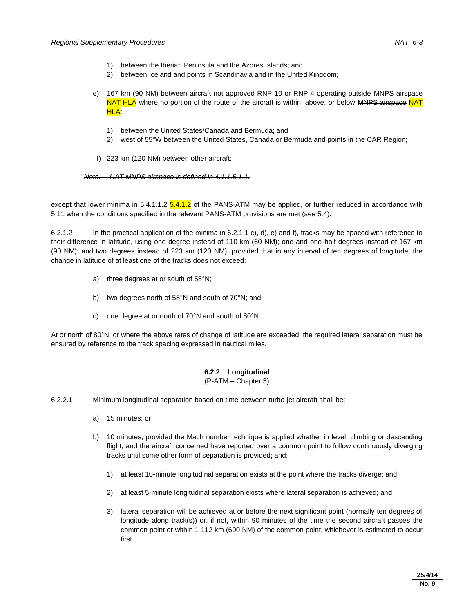- 1) between the Iberian Peninsula and the Azores Islands; and
- 2) between Iceland and points in Scandinavia and in the United Kingdom;
- e) 167 km (90 NM) between aircraft not approved RNP 10 or RNP 4 operating outside MNPS airspace NAT HLA where no portion of the route of the aircraft is within, above, or below MNPS airspace NAT HLA:
	- 1) between the United States/Canada and Bermuda; and
	- 2) west of 55°W between the United States, Canada or Bermuda and points in the CAR Region;
- f) 223 km (120 NM) between other aircraft;

*Note.— NAT MNPS airspace is defined in 4.1.1.5.1.1.*

except that lower minima in 5.4.1.1.2 5.4.1.2 of the PANS-ATM may be applied, or further reduced in accordance with 5.11 when the conditions specified in the relevant PANS-ATM provisions are met (see 5.4).

6.2.1.2 In the practical application of the minima in 6.2.1.1 c), d), e) and f), tracks may be spaced with reference to their difference in latitude, using one degree instead of 110 km (60 NM); one and one-half degrees instead of 167 km (90 NM); and two degrees instead of 223 km (120 NM), provided that in any interval of ten degrees of longitude, the change in latitude of at least one of the tracks does not exceed:

- a) three degrees at or south of 58°N;
- b) two degrees north of 58°N and south of 70°N; and
- c) one degree at or north of 70°N and south of 80°N.

At or north of 80°N, or where the above rates of change of latitude are exceeded, the required lateral separation must be ensured by reference to the track spacing expressed in nautical miles.

### **6.2.2 Longitudinal**

#### (P-ATM – Chapter 5)

- 6.2.2.1 Minimum longitudinal separation based on time between turbo-jet aircraft shall be:
	- a) 15 minutes; or
	- b) 10 minutes, provided the Mach number technique is applied whether in level, climbing or descending flight; and the aircraft concerned have reported over a common point to follow continuously diverging tracks until some other form of separation is provided; and:
		- 1) at least 10-minute longitudinal separation exists at the point where the tracks diverge; and
		- 2) at least 5-minute longitudinal separation exists where lateral separation is achieved; and
		- 3) lateral separation will be achieved at or before the next significant point (normally ten degrees of longitude along track(s)) or, if not, within 90 minutes of the time the second aircraft passes the common point or within 1 112 km (600 NM) of the common point, whichever is estimated to occur first.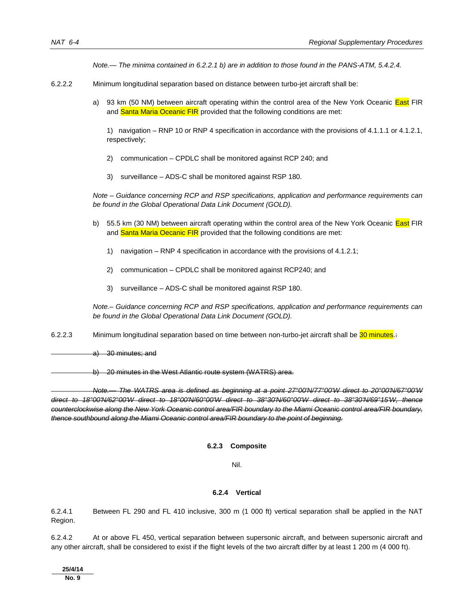*Note.— The minima contained in 6.2.2.1 b) are in addition to those found in the PANS-ATM, 5.4.2.4.*

- 6.2.2.2 Minimum longitudinal separation based on distance between turbo-jet aircraft shall be:
	- a) 93 km (50 NM) between aircraft operating within the control area of the New York Oceanic East FIR and Santa Maria Oceanic FIR provided that the following conditions are met:

1) navigation – RNP 10 or RNP 4 specification in accordance with the provisions of 4.1.1.1 or 4.1.2.1, respectively;

- 2) communication CPDLC shall be monitored against RCP 240; and
- 3) surveillance ADS-C shall be monitored against RSP 180.

*Note – Guidance concerning RCP and RSP specifications, application and performance requirements can be found in the Global Operational Data Link Document (GOLD).*

- b) 55.5 km (30 NM) between aircraft operating within the control area of the New York Oceanic East FIR and **Santa Maria Oecanic FIR** provided that the following conditions are met:
	- 1) navigation RNP 4 specification in accordance with the provisions of 4.1.2.1;
	- 2) communication CPDLC shall be monitored against RCP240; and
	- 3) surveillance ADS-C shall be monitored against RSP 180.

*Note.– Guidance concerning RCP and RSP specifications, application and performance requirements can be found in the Global Operational Data Link Document (GOLD).*

6.2.2.3 Minimum longitudinal separation based on time between non-turbo-jet aircraft shall be 30 minutes.

30 minutes; and

b) 20 minutes in the West Atlantic route system (WATRS) area.

*Note.— The WATRS area is defined as beginning at a point 27°00'N/77°00'W direct to 20°00'N/67°00'W direct to 18°00'N/62°00'W direct to 18°00'N/60°00'W direct to 38°30'N/60°00'W direct to 38°30'N/69°15'W, thence counterclockwise along the New York Oceanic control area/FIR boundary to the Miami Oceanic control area/FIR boundary, thence southbound along the Miami Oceanic control area/FIR boundary to the point of beginning.*

#### **6.2.3 Composite**

#### Nil.

#### **6.2.4 Vertical**

6.2.4.1 Between FL 290 and FL 410 inclusive, 300 m (1 000 ft) vertical separation shall be applied in the NAT Region.

6.2.4.2 At or above FL 450, vertical separation between supersonic aircraft, and between supersonic aircraft and any other aircraft, shall be considered to exist if the flight levels of the two aircraft differ by at least 1 200 m (4 000 ft).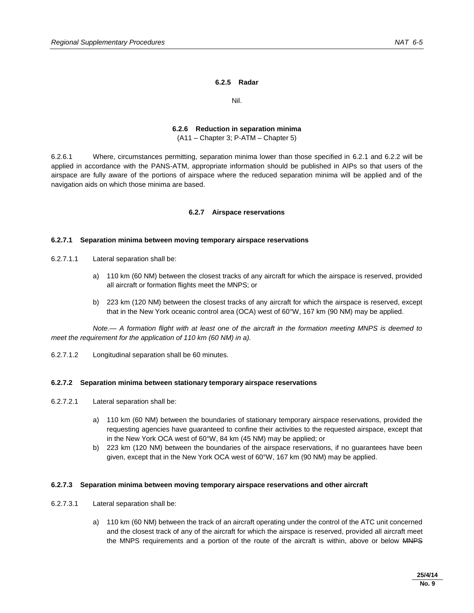#### **6.2.5 Radar**

Nil.

#### **6.2.6 Reduction in separation minima**

(A11 – Chapter 3; P-ATM – Chapter 5)

6.2.6.1 Where, circumstances permitting, separation minima lower than those specified in 6.2.1 and 6.2.2 will be applied in accordance with the PANS-ATM, appropriate information should be published in AIPs so that users of the airspace are fully aware of the portions of airspace where the reduced separation minima will be applied and of the navigation aids on which those minima are based.

#### **6.2.7 Airspace reservations**

#### **6.2.7.1 Separation minima between moving temporary airspace reservations**

- 6.2.7.1.1 Lateral separation shall be:
	- a) 110 km (60 NM) between the closest tracks of any aircraft for which the airspace is reserved, provided all aircraft or formation flights meet the MNPS; or
	- b) 223 km (120 NM) between the closest tracks of any aircraft for which the airspace is reserved, except that in the New York oceanic control area (OCA) west of 60°W, 167 km (90 NM) may be applied.

*Note.— A formation flight with at least one of the aircraft in the formation meeting MNPS is deemed to meet the requirement for the application of 110 km (60 NM) in a).*

6.2.7.1.2 Longitudinal separation shall be 60 minutes.

#### **6.2.7.2 Separation minima between stationary temporary airspace reservations**

- 6.2.7.2.1 Lateral separation shall be:
	- a) 110 km (60 NM) between the boundaries of stationary temporary airspace reservations, provided the requesting agencies have guaranteed to confine their activities to the requested airspace, except that in the New York OCA west of 60°W, 84 km (45 NM) may be applied; or
	- b) 223 km (120 NM) between the boundaries of the airspace reservations, if no guarantees have been given, except that in the New York OCA west of 60°W, 167 km (90 NM) may be applied.

#### **6.2.7.3 Separation minima between moving temporary airspace reservations and other aircraft**

- 6.2.7.3.1 Lateral separation shall be:
	- a) 110 km (60 NM) between the track of an aircraft operating under the control of the ATC unit concerned and the closest track of any of the aircraft for which the airspace is reserved, provided all aircraft meet the MNPS requirements and a portion of the route of the aircraft is within, above or below MNPS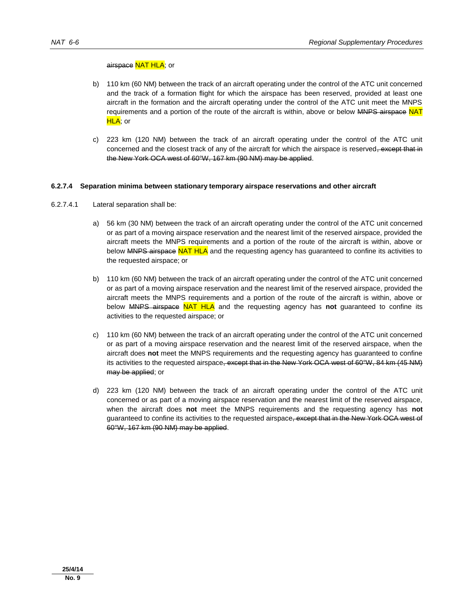#### airspace NAT HLA; or

- b) 110 km (60 NM) between the track of an aircraft operating under the control of the ATC unit concerned and the track of a formation flight for which the airspace has been reserved, provided at least one aircraft in the formation and the aircraft operating under the control of the ATC unit meet the MNPS requirements and a portion of the route of the aircraft is within, above or below MNPS airspace NAT HLA; or
- c) 223 km (120 NM) between the track of an aircraft operating under the control of the ATC unit concerned and the closest track of any of the aircraft for which the airspace is reserved, except that in the New York OCA west of 60°W, 167 km (90 NM) may be applied.

#### **6.2.7.4 Separation minima between stationary temporary airspace reservations and other aircraft**

- 6.2.7.4.1 Lateral separation shall be:
	- a) 56 km (30 NM) between the track of an aircraft operating under the control of the ATC unit concerned or as part of a moving airspace reservation and the nearest limit of the reserved airspace, provided the aircraft meets the MNPS requirements and a portion of the route of the aircraft is within, above or below MNPS airspace NAT HLA and the requesting agency has guaranteed to confine its activities to the requested airspace; or
	- b) 110 km (60 NM) between the track of an aircraft operating under the control of the ATC unit concerned or as part of a moving airspace reservation and the nearest limit of the reserved airspace, provided the aircraft meets the MNPS requirements and a portion of the route of the aircraft is within, above or below MNPS airspace NAT HLA and the requesting agency has **not** guaranteed to confine its activities to the requested airspace; or
	- c) 110 km (60 NM) between the track of an aircraft operating under the control of the ATC unit concerned or as part of a moving airspace reservation and the nearest limit of the reserved airspace, when the aircraft does **not** meet the MNPS requirements and the requesting agency has guaranteed to confine its activities to the requested airspace<del>, except that in the New York OCA west of 60°W, 84 km (45 NM)</del> may be applied; or
	- d) 223 km (120 NM) between the track of an aircraft operating under the control of the ATC unit concerned or as part of a moving airspace reservation and the nearest limit of the reserved airspace, when the aircraft does **not** meet the MNPS requirements and the requesting agency has **not** guaranteed to confine its activities to the requested airspace, except that in the New York OCA west of 60°W, 167 km (90 NM) may be applied.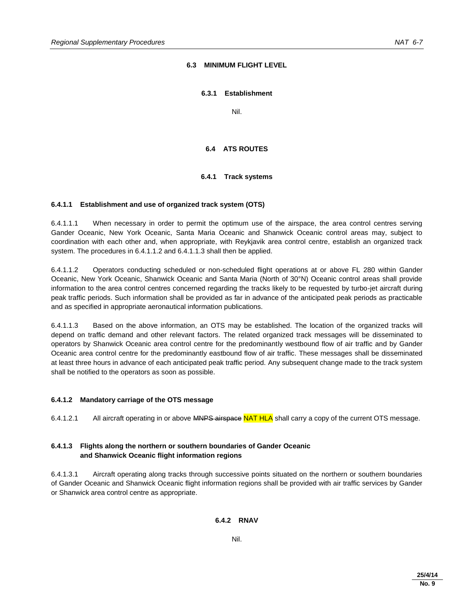#### **6.3 MINIMUM FLIGHT LEVEL**

**6.3.1 Establishment**

Nil.

#### **6.4 ATS ROUTES**

#### **6.4.1 Track systems**

#### **6.4.1.1 Establishment and use of organized track system (OTS)**

6.4.1.1.1 When necessary in order to permit the optimum use of the airspace, the area control centres serving Gander Oceanic, New York Oceanic, Santa Maria Oceanic and Shanwick Oceanic control areas may, subject to coordination with each other and, when appropriate, with Reykjavik area control centre, establish an organized track system. The procedures in 6.4.1.1.2 and 6.4.1.1.3 shall then be applied.

6.4.1.1.2 Operators conducting scheduled or non-scheduled flight operations at or above FL 280 within Gander Oceanic, New York Oceanic, Shanwick Oceanic and Santa Maria (North of 30°N) Oceanic control areas shall provide information to the area control centres concerned regarding the tracks likely to be requested by turbo-jet aircraft during peak traffic periods. Such information shall be provided as far in advance of the anticipated peak periods as practicable and as specified in appropriate aeronautical information publications.

6.4.1.1.3 Based on the above information, an OTS may be established. The location of the organized tracks will depend on traffic demand and other relevant factors. The related organized track messages will be disseminated to operators by Shanwick Oceanic area control centre for the predominantly westbound flow of air traffic and by Gander Oceanic area control centre for the predominantly eastbound flow of air traffic. These messages shall be disseminated at least three hours in advance of each anticipated peak traffic period. Any subsequent change made to the track system shall be notified to the operators as soon as possible.

#### **6.4.1.2 Mandatory carriage of the OTS message**

6.4.1.2.1 All aircraft operating in or above MNPS airspace NAT HLA shall carry a copy of the current OTS message.

#### **6.4.1.3 Flights along the northern or southern boundaries of Gander Oceanic 6.4.1.3 and Shanwick Oceanic flight information regions**

6.4.1.3.1 Aircraft operating along tracks through successive points situated on the northern or southern boundaries of Gander Oceanic and Shanwick Oceanic flight information regions shall be provided with air traffic services by Gander or Shanwick area control centre as appropriate.

**6.4.2 RNAV**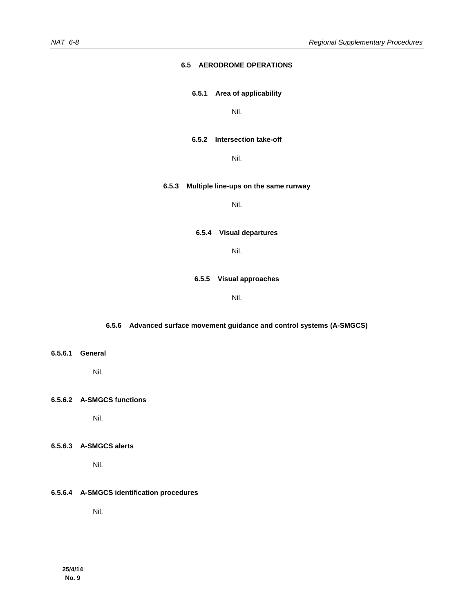#### **6.5 AERODROME OPERATIONS**

#### **6.5.1 Area of applicability**

Nil.

#### **6.5.2 Intersection take-off**

Nil.

#### **6.5.3 Multiple line-ups on the same runway**

Nil.

#### **6.5.4 Visual departures**

Nil.

#### **6.5.5 Visual approaches**

Nil.

#### **6.5.6 Advanced surface movement guidance and control systems (A-SMGCS)**

**6.5.6.1 General**

Nil.

#### **6.5.6.2 A-SMGCS functions**

Nil.

#### **6.5.6.3 A-SMGCS alerts**

Nil.

#### **6.5.6.4 A-SMGCS identification procedures**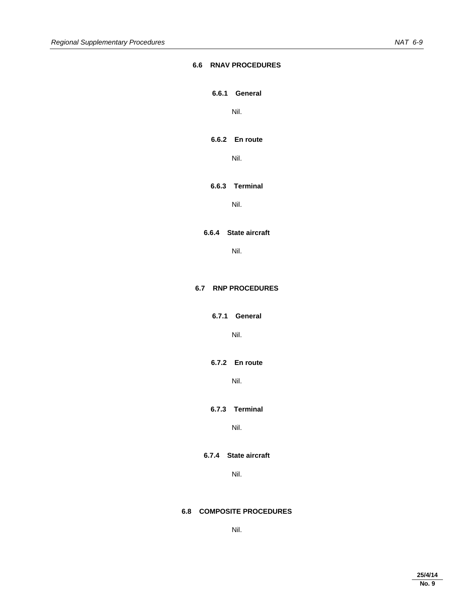# **6.6 RNAV PROCEDURES 6.6.1 General** Nil. **6.6.2 En route** Nil. **6.6.3 Terminal** Nil. **6.6.4 State aircraft** Nil. **6.7 RNP PROCEDURES 6.7.1 General** Nil. **6.7.2 En route** Nil. **6.7.3 Terminal** Nil. **6.7.4 State aircraft** Nil.

#### **6.8 COMPOSITE PROCEDURES**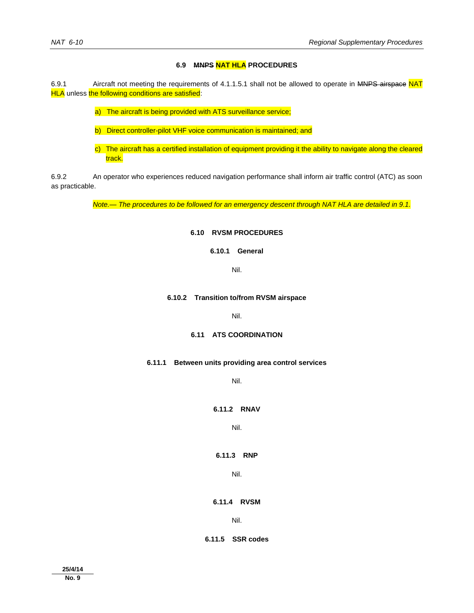#### **6.9 MNPS NAT HLA PROCEDURES**

6.9.1 Aircraft not meeting the requirements of 4.1.1.5.1 shall not be allowed to operate in MNPS airspace NAT **HLA** unless the following conditions are satisfied:

a) The aircraft is being provided with ATS surveillance service;

b) Direct controller-pilot VHF voice communication is maintained; and

c) The aircraft has a certified installation of equipment providing it the ability to navigate along the cleared track.

6.9.2 An operator who experiences reduced navigation performance shall inform air traffic control (ATC) as soon as practicable.

*Note.— The procedures to be followed for an emergency descent through NAT HLA are detailed in 9.1.*

#### **6.10 RVSM PROCEDURES**

**6.10.1 General**

Nil.

#### **6.10.2 Transition to/from RVSM airspace**

Nil.

#### **6.11 ATS COORDINATION**

#### **6.11.1 Between units providing area control services**

Nil.

**6.11.2 RNAV**

Nil.

**6.11.3 RNP**

Nil.

**6.11.4 RVSM**

Nil.

**6.11.5 SSR codes**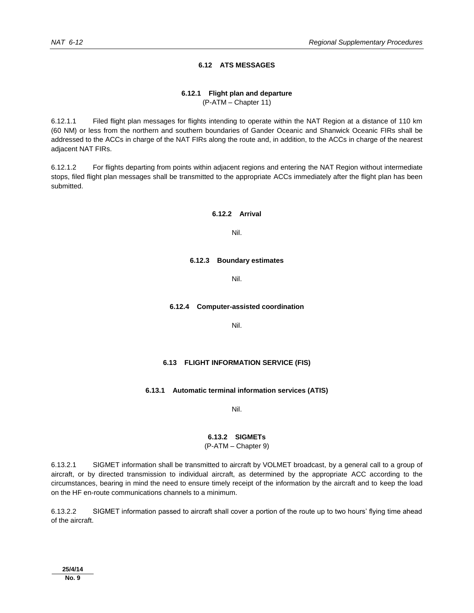#### **6.12 ATS MESSAGES**

#### **6.12.1 Flight plan and departure**

(P-ATM – Chapter 11)

6.12.1.1 Filed flight plan messages for flights intending to operate within the NAT Region at a distance of 110 km (60 NM) or less from the northern and southern boundaries of Gander Oceanic and Shanwick Oceanic FIRs shall be addressed to the ACCs in charge of the NAT FIRs along the route and, in addition, to the ACCs in charge of the nearest adjacent NAT FIRs.

6.12.1.2 For flights departing from points within adjacent regions and entering the NAT Region without intermediate stops, filed flight plan messages shall be transmitted to the appropriate ACCs immediately after the flight plan has been submitted.

#### **6.12.2 Arrival**

Nil.

#### **6.12.3 Boundary estimates**

Nil.

**6.12.4 Computer-assisted coordination**

Nil.

#### **6.13 FLIGHT INFORMATION SERVICE (FIS)**

#### **6.13.1 Automatic terminal information services (ATIS)**

Nil.

### **6.13.2 SIGMETs**

#### (P-ATM – Chapter 9)

6.13.2.1 SIGMET information shall be transmitted to aircraft by VOLMET broadcast, by a general call to a group of aircraft, or by directed transmission to individual aircraft, as determined by the appropriate ACC according to the circumstances, bearing in mind the need to ensure timely receipt of the information by the aircraft and to keep the load on the HF en-route communications channels to a minimum.

6.13.2.2 SIGMET information passed to aircraft shall cover a portion of the route up to two hours' flying time ahead of the aircraft.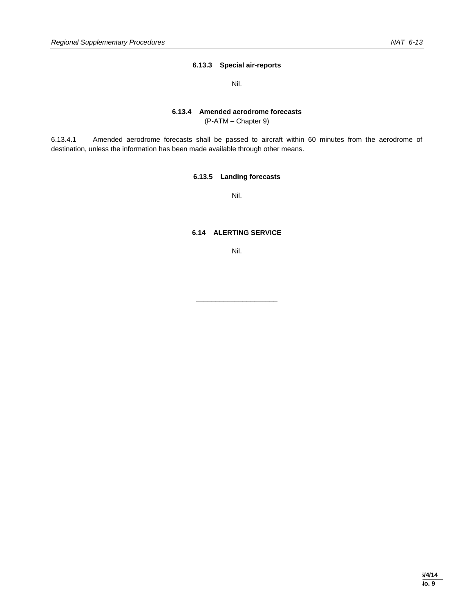#### **6.13.3 Special air-reports**

Nil.

#### **6.13.4 Amended aerodrome forecasts**

(P-ATM – Chapter 9)

6.13.4.1 Amended aerodrome forecasts shall be passed to aircraft within 60 minutes from the aerodrome of destination, unless the information has been made available through other means.

#### **6.13.5 Landing forecasts**

Nil.

#### **6.14 ALERTING SERVICE**

Nil.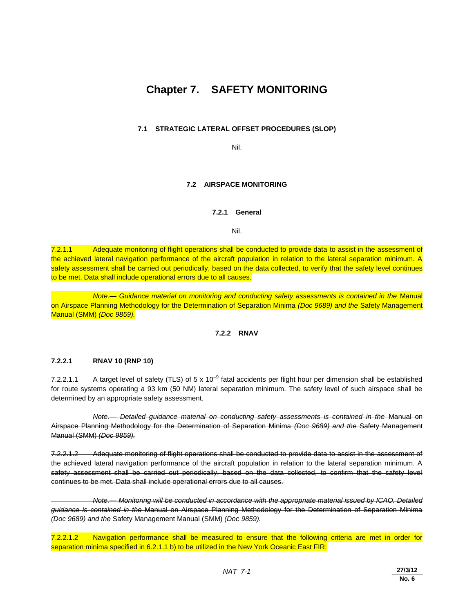### **Chapter 7. SAFETY MONITORING**

#### **7.1 STRATEGIC LATERAL OFFSET PROCEDURES (SLOP)**

Nil.

#### **7.2 AIRSPACE MONITORING**

#### **7.2.1 General**

Nil.

7.2.1.1 Adequate monitoring of flight operations shall be conducted to provide data to assist in the assessment of the achieved lateral navigation performance of the aircraft population in relation to the lateral separation minimum. A safety assessment shall be carried out periodically, based on the data collected, to verify that the safety level continues to be met. Data shall include operational errors due to all causes.

*Note.— Guidance material on monitoring and conducting safety assessments is contained in the* Manual on Airspace Planning Methodology for the Determination of Separation Minima *(Doc 9689) and the* Safety Management Manual (SMM) *(Doc 9859).*

#### **7.2.2 RNAV**

#### **7.2.2.1 RNAV 10 (RNP 10)**

7.2.2.1.1 A target level of safety (TLS) of 5 x 10<sup>-9</sup> fatal accidents per flight hour per dimension shall be established for route systems operating a 93 km (50 NM) lateral separation minimum. The safety level of such airspace shall be determined by an appropriate safety assessment.

*Note.— Detailed guidance material on conducting safety assessments is contained in the* Manual on Airspace Planning Methodology for the Determination of Separation Minima *(Doc 9689) and the* Safety Management Manual (SMM) *(Doc 9859).*

7.2.2.1.2 Adequate monitoring of flight operations shall be conducted to provide data to assist in the assessment of the achieved lateral navigation performance of the aircraft population in relation to the lateral separation minimum. A safety assessment shall be carried out periodically, based on the data collected, to confirm that the safety level continues to be met. Data shall include operational errors due to all causes.

*Note.— Monitoring will be conducted in accordance with the appropriate material issued by ICAO. Detailed guidance is contained in the* Manual on Airspace Planning Methodology for the Determination of Separation Minima *(Doc 9689) and the* Safety Management Manual (SMM) *(Doc 9859).*

7.2.2.1.2 Navigation performance shall be measured to ensure that the following criteria are met in order for separation minima specified in 6.2.1.1 b) to be utilized in the New York Oceanic East FIR: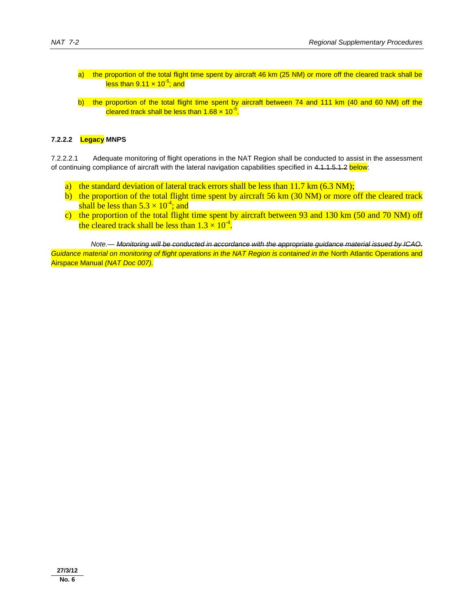- a) the proportion of the total flight time spent by aircraft 46 km (25 NM) or more off the cleared track shall be less than 9.11 **×** 10<sup>-5</sup>; and
- b) the proportion of the total flight time spent by aircraft between 74 and 111 km (40 and 60 NM) off the cleared track shall be less than 1.68  $\times$  10<sup>-5</sup>.

#### **7.2.2.2 Legacy MNPS**

7.2.2.2.1 Adequate monitoring of flight operations in the NAT Region shall be conducted to assist in the assessment of continuing compliance of aircraft with the lateral navigation capabilities specified in 4.1.1.5.1.2 below:

- a) the standard deviation of lateral track errors shall be less than  $11.7 \text{ km}$  (6.3 NM);
- b) the proportion of the total flight time spent by aircraft 56 km (30 NM) or more off the cleared track shall be less than  $5.3 \times 10^{-4}$ ; and
- c) the proportion of the total flight time spent by aircraft between 93 and 130 km (50 and 70 NM) off the cleared track shall be less than  $1.3 \times 10^{-4}$ .

*Note.— Monitoring will be conducted in accordance with the appropriate guidance material issued by ICAO. Guidance material on monitoring of flight operations in the NAT Region is contained in the North Atlantic Operations and* Airspace Manual *(NAT Doc 007).*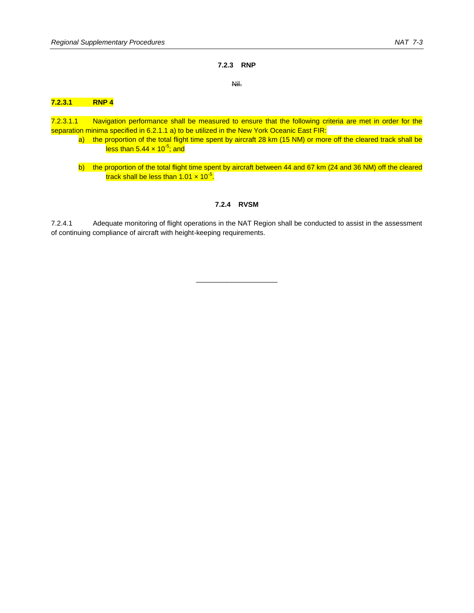**7.2.3 RNP**

Nil.

#### **7.2.3.1 RNP 4**

7.2.3.1.1 Navigation performance shall be measured to ensure that the following criteria are met in order for the separation minima specified in 6.2.1.1 a) to be utilized in the New York Oceanic East FIR:

- a) the proportion of the total flight time spent by aircraft 28 km (15 NM) or more off the cleared track shall be less than 5.44 **×** 10<sup>-5</sup>; and
- b) the proportion of the total flight time spent by aircraft between 44 and 67 km (24 and 36 NM) off the cleared track shall be less than 1.01 **×** 10<sup>-5</sup>.

#### **7.2.4 RVSM**

7.2.4.1 Adequate monitoring of flight operations in the NAT Region shall be conducted to assist in the assessment of continuing compliance of aircraft with height-keeping requirements.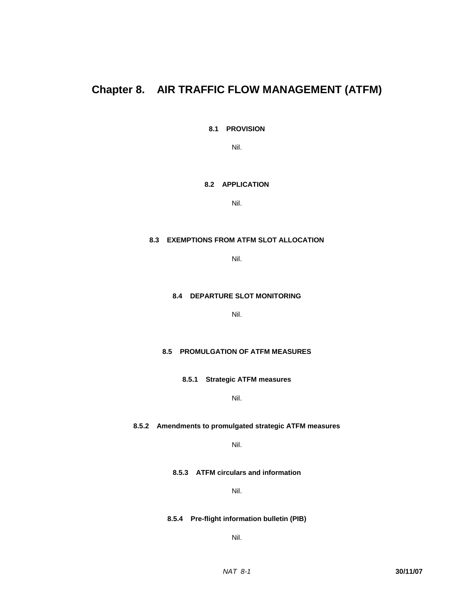### **Chapter 8. AIR TRAFFIC FLOW MANAGEMENT (ATFM)**

**8.1 PROVISION**

Nil.

#### **8.2 APPLICATION**

Nil.

#### **8.3 EXEMPTIONS FROM ATFM SLOT ALLOCATION**

Nil.

#### **8.4 DEPARTURE SLOT MONITORING**

Nil.

#### **8.5 PROMULGATION OF ATFM MEASURES**

**8.5.1 Strategic ATFM measures**

Nil.

#### **8.5.2 Amendments to promulgated strategic ATFM measures**

Nil.

**8.5.3 ATFM circulars and information**

Nil.

**8.5.4 Pre-flight information bulletin (PIB)**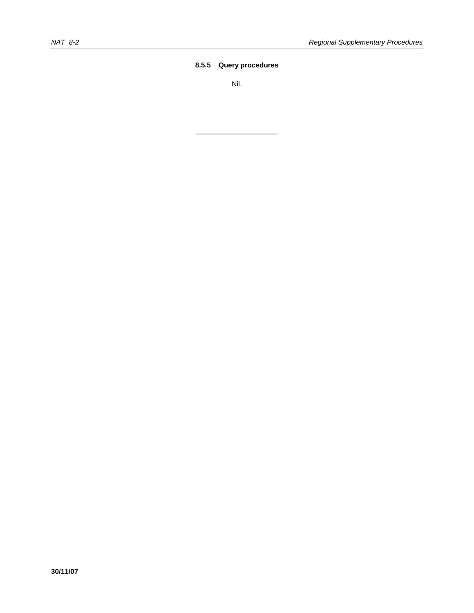#### **8.5.5 Query procedures**

Nil.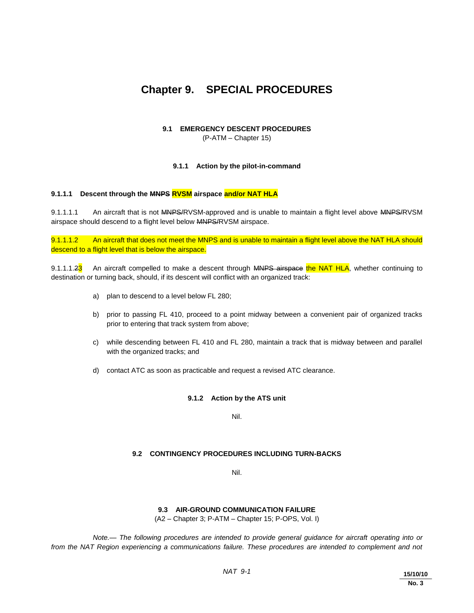### **Chapter 9. SPECIAL PROCEDURES**

#### **9.1 EMERGENCY DESCENT PROCEDURES**

(P-ATM – Chapter 15)

#### **9.1.1 Action by the pilot-in-command**

#### **9.1.1.1 Descent through the MNPS RVSM airspace and/or NAT HLA**

9.1.1.1.1 An aircraft that is not MNPS/RVSM-approved and is unable to maintain a flight level above MNPS/RVSM airspace should descend to a flight level below MNPS/RVSM airspace.

9.1.1.1.2 An aircraft that does not meet the MNPS and is unable to maintain a flight level above the NAT HLA should descend to a flight level that is below the airspace.

9.1.1.1.23 An aircraft compelled to make a descent through MNPS airspace the NAT HLA, whether continuing to destination or turning back, should, if its descent will conflict with an organized track:

- a) plan to descend to a level below FL 280;
- b) prior to passing FL 410, proceed to a point midway between a convenient pair of organized tracks prior to entering that track system from above;
- c) while descending between FL 410 and FL 280, maintain a track that is midway between and parallel with the organized tracks; and
- d) contact ATC as soon as practicable and request a revised ATC clearance.

#### **9.1.2 Action by the ATS unit**

Nil.

#### **9.2 CONTINGENCY PROCEDURES INCLUDING TURN-BACKS**

Nil.

#### **9.3 AIR-GROUND COMMUNICATION FAILURE**

(A2 – Chapter 3; P-ATM – Chapter 15; P-OPS, Vol. I)

*Note.— The following procedures are intended to provide general guidance for aircraft operating into or from the NAT Region experiencing a communications failure. These procedures are intended to complement and not*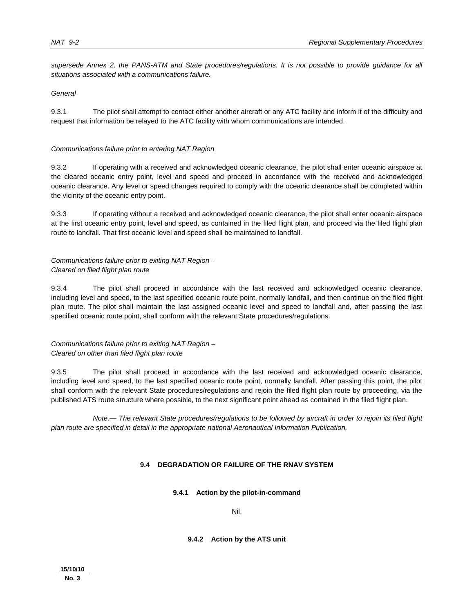supersede Annex 2, the PANS-ATM and State procedures/regulations. It is not possible to provide guidance for all *situations associated with a communications failure.*

#### *General*

9.3.1 The pilot shall attempt to contact either another aircraft or any ATC facility and inform it of the difficulty and request that information be relayed to the ATC facility with whom communications are intended.

#### *Communications failure prior to entering NAT Region*

9.3.2 If operating with a received and acknowledged oceanic clearance, the pilot shall enter oceanic airspace at the cleared oceanic entry point, level and speed and proceed in accordance with the received and acknowledged oceanic clearance. Any level or speed changes required to comply with the oceanic clearance shall be completed within the vicinity of the oceanic entry point.

9.3.3 If operating without a received and acknowledged oceanic clearance, the pilot shall enter oceanic airspace at the first oceanic entry point, level and speed, as contained in the filed flight plan, and proceed via the filed flight plan route to landfall. That first oceanic level and speed shall be maintained to landfall.

*Communications failure prior to exiting NAT Region – Cleared on filed flight plan route*

9.3.4 The pilot shall proceed in accordance with the last received and acknowledged oceanic clearance, including level and speed, to the last specified oceanic route point, normally landfall, and then continue on the filed flight plan route. The pilot shall maintain the last assigned oceanic level and speed to landfall and, after passing the last specified oceanic route point, shall conform with the relevant State procedures/regulations.

#### *Communications failure prior to exiting NAT Region – Cleared on other than filed flight plan route*

9.3.5 The pilot shall proceed in accordance with the last received and acknowledged oceanic clearance, including level and speed, to the last specified oceanic route point, normally landfall. After passing this point, the pilot shall conform with the relevant State procedures/regulations and rejoin the filed flight plan route by proceeding, via the published ATS route structure where possible, to the next significant point ahead as contained in the filed flight plan.

*Note.— The relevant State procedures/regulations to be followed by aircraft in order to rejoin its filed flight plan route are specified in detail in the appropriate national Aeronautical Information Publication.*

#### **9.4 DEGRADATION OR FAILURE OF THE RNAV SYSTEM**

#### **9.4.1 Action by the pilot-in-command**

Nil.

**9.4.2 Action by the ATS unit**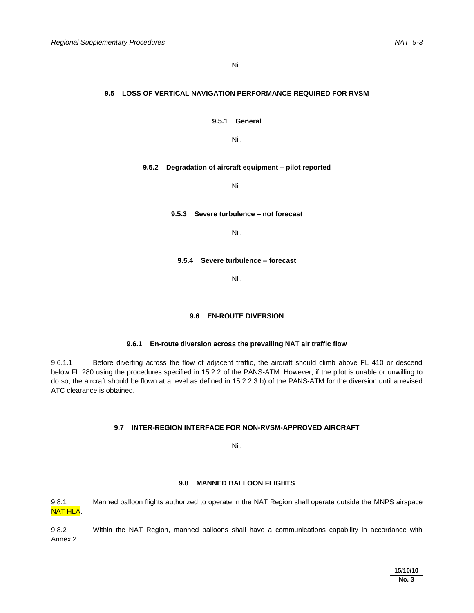Nil.

#### **9.5 LOSS OF VERTICAL NAVIGATION PERFORMANCE REQUIRED FOR RVSM**

**9.5.1 General**

Nil.

**9.5.2 Degradation of aircraft equipment – pilot reported**

Nil.

**9.5.3 Severe turbulence – not forecast**

Nil.

**9.5.4 Severe turbulence – forecast**

Nil.

#### **9.6 EN-ROUTE DIVERSION**

#### **9.6.1 En-route diversion across the prevailing NAT air traffic flow**

9.6.1.1 Before diverting across the flow of adjacent traffic, the aircraft should climb above FL 410 or descend below FL 280 using the procedures specified in 15.2.2 of the PANS-ATM. However, if the pilot is unable or unwilling to do so, the aircraft should be flown at a level as defined in 15.2.2.3 b) of the PANS-ATM for the diversion until a revised ATC clearance is obtained.

#### **9.7 INTER-REGION INTERFACE FOR NON-RVSM-APPROVED AIRCRAFT**

Nil.

#### **9.8 MANNED BALLOON FLIGHTS**

9.8.1 Manned balloon flights authorized to operate in the NAT Region shall operate outside the MNPS airspace **NAT HLA.** 

9.8.2 Within the NAT Region, manned balloons shall have a communications capability in accordance with Annex 2.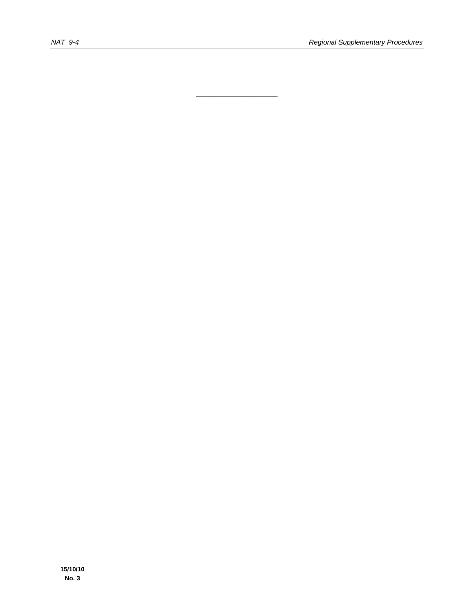\_\_\_\_\_\_\_\_\_\_\_\_\_\_\_\_\_\_\_\_\_

**15/10/10 No. 3**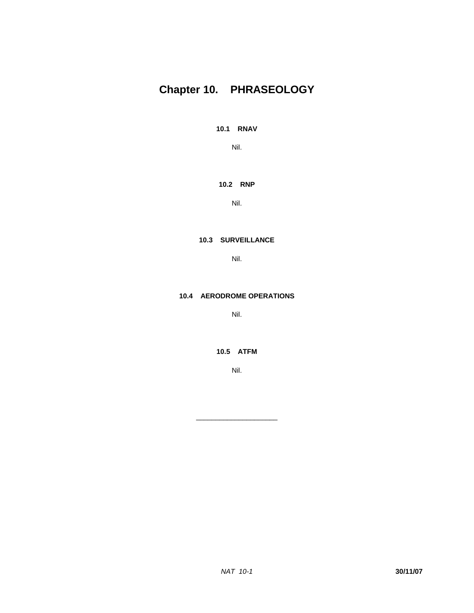# **Chapter 10. PHRASEOLOGY**

**10.1 RNAV**

Nil.

**10.2 RNP**

Nil.

**10.3 SURVEILLANCE**

Nil.

**10.4 AERODROME OPERATIONS**

Nil.

**10.5 ATFM**

Nil.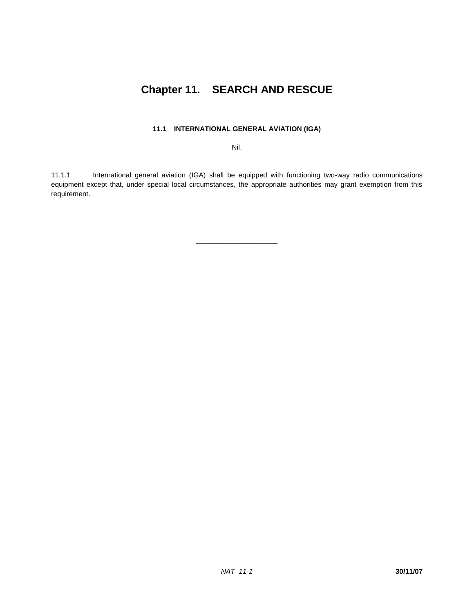### **Chapter 11. SEARCH AND RESCUE**

#### **11.1 INTERNATIONAL GENERAL AVIATION (IGA)**

Nil.

11.1.1 International general aviation (IGA) shall be equipped with functioning two-way radio communications equipment except that, under special local circumstances, the appropriate authorities may grant exemption from this requirement.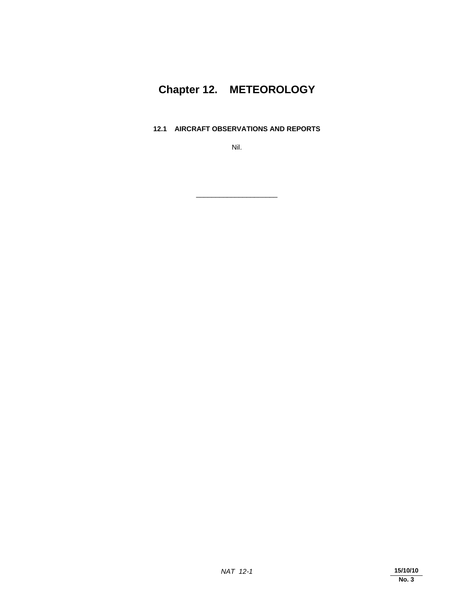# **Chapter 12. METEOROLOGY**

#### **12.1 AIRCRAFT OBSERVATIONS AND REPORTS**

Nil.